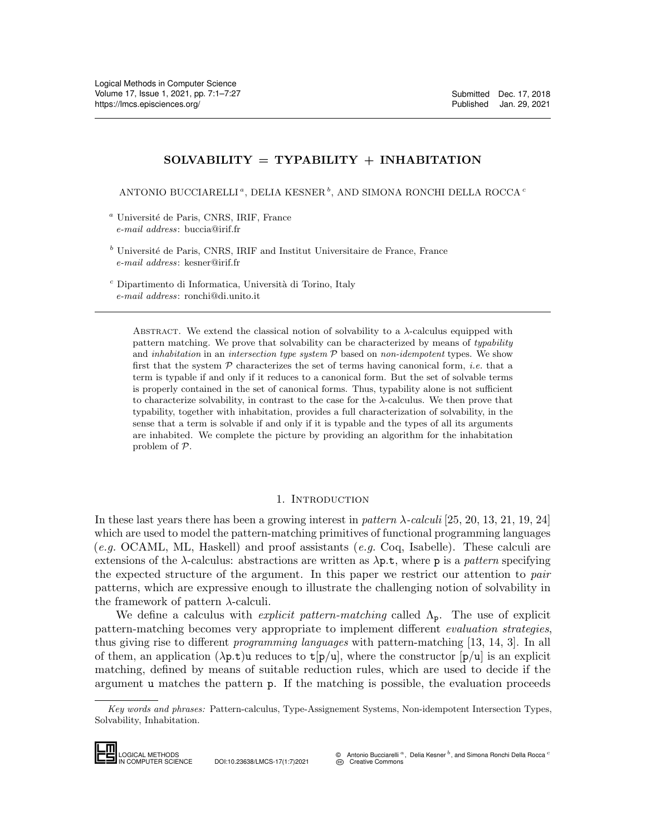# $SOLVABILITY = TYPABILITY + INHABILITY$

ANTONIO BUCCIARELLI<sup>ª</sup>, DELIA KESNER<sup>b</sup>, AND SIMONA RONCHI DELLA ROCCA<sup>*e*</sup>

 $a$  Université de Paris, CNRS, IRIF, France e-mail address: buccia@irif.fr

 $<sup>b</sup>$  Université de Paris, CNRS, IRIF and Institut Universitaire de France, France</sup> e-mail address: kesner@irif.fr

 $c$  Dipartimento di Informatica, Università di Torino, Italy e-mail address: ronchi@di.unito.it

ABSTRACT. We extend the classical notion of solvability to a  $\lambda$ -calculus equipped with pattern matching. We prove that solvability can be characterized by means of typability and inhabitation in an intersection type system  $P$  based on non-idempotent types. We show first that the system  $P$  characterizes the set of terms having canonical form, *i.e.* that a term is typable if and only if it reduces to a canonical form. But the set of solvable terms is properly contained in the set of canonical forms. Thus, typability alone is not sufficient to characterize solvability, in contrast to the case for the  $\lambda$ -calculus. We then prove that typability, together with inhabitation, provides a full characterization of solvability, in the sense that a term is solvable if and only if it is typable and the types of all its arguments are inhabited. We complete the picture by providing an algorithm for the inhabitation problem of P.

## 1. INTRODUCTION

In these last years there has been a growing interest in pattern  $\lambda$ -calculi [\[25,](#page-26-1) [20,](#page-26-2) [13,](#page-26-3) [21,](#page-26-4) [19,](#page-26-5) [24\]](#page-26-6) which are used to model the pattern-matching primitives of functional programming languages (e.g. OCAML, ML, Haskell) and proof assistants (e.g. Coq, Isabelle). These calculi are extensions of the  $\lambda$ -calculus: abstractions are written as  $\lambda p.t$ , where p is a pattern specifying the expected structure of the argument. In this paper we restrict our attention to pair patterns, which are expressive enough to illustrate the challenging notion of solvability in the framework of pattern  $\lambda$ -calculi.

We define a calculus with *explicit pattern-matching* called  $\Lambda_p$ . The use of explicit pattern-matching becomes very appropriate to implement different evaluation strategies, thus giving rise to different programming languages with pattern-matching [\[13,](#page-26-3) [14,](#page-26-7) [3\]](#page-25-0). In all of them, an application  $(\lambda p.t)u$  reduces to  $t[p/u]$ , where the constructor  $[p/u]$  is an explicit matching, defined by means of suitable reduction rules, which are used to decide if the argument u matches the pattern p. If the matching is possible, the evaluation proceeds pattern-matching<br>thus giving rise to<br>f them, an appli<br>matching, define<br>argument **u** mat<br> $Key words and pl$ <br>Solvability, Inhabita

Key words and phrases: Pattern-calculus, Type-Assignement Systems, Non-idempotent Intersection Types, Solvability, Inhabitation.



IN COMPUTER SCIENCE DOI:10.23638/LMCS-17(1:7)2021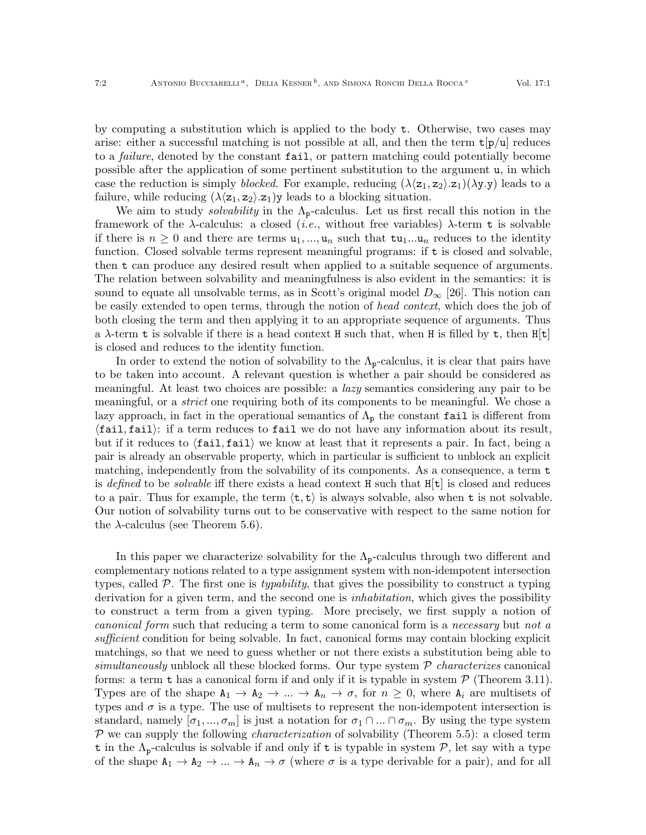by computing a substitution which is applied to the body t. Otherwise, two cases may arise: either a successful matching is not possible at all, and then the term  $t[p/u]$  reduces to a *failure*, denoted by the constant fail, or pattern matching could potentially become possible after the application of some pertinent substitution to the argument u, in which case the reduction is simply blocked. For example, reducing  $(\lambda \langle z_1, z_2 \rangle \langle z_1 | (\lambda y \rangle \langle y \rangle))$  leads to a failure, while reducing  $(\lambda \langle z_1, z_2 \rangle \cdot z_1)$ y leads to a blocking situation.

We aim to study *solvability* in the  $\Lambda_{p}$ -calculus. Let us first recall this notion in the framework of the  $\lambda$ -calculus: a closed (*i.e.*, without free variables)  $\lambda$ -term t is solvable if there is  $n \geq 0$  and there are terms  $u_1, ..., u_n$  such that  $tu_1...u_n$  reduces to the identity function. Closed solvable terms represent meaningful programs: if t is closed and solvable, then t can produce any desired result when applied to a suitable sequence of arguments. The relation between solvability and meaningfulness is also evident in the semantics: it is sound to equate all unsolvable terms, as in Scott's original model  $D_{\infty}$  [\[26\]](#page-26-8). This notion can be easily extended to open terms, through the notion of head context, which does the job of both closing the term and then applying it to an appropriate sequence of arguments. Thus a  $\lambda$ -term t is solvable if there is a head context H such that, when H is filled by t, then H[t] is closed and reduces to the identity function.

In order to extend the notion of solvability to the  $\Lambda_{p}$ -calculus, it is clear that pairs have to be taken into account. A relevant question is whether a pair should be considered as meaningful. At least two choices are possible: a lazy semantics considering any pair to be meaningful, or a *strict* one requiring both of its components to be meaningful. We chose a lazy approach, in fact in the operational semantics of  $\Lambda_p$  the constant fail is different from  $\{fail, fail\}$ : if a term reduces to fail we do not have any information about its result, but if it reduces to  $\langle \text{fail}, \text{fail} \rangle$  we know at least that it represents a pair. In fact, being a pair is already an observable property, which in particular is sufficient to unblock an explicit matching, independently from the solvability of its components. As a consequence, a term t is defined to be *solvable* iff there exists a head context H such that  $H[t]$  is closed and reduces to a pair. Thus for example, the term  $\langle \mathbf{t}, \mathbf{t} \rangle$  is always solvable, also when **t** is not solvable. Our notion of solvability turns out to be conservative with respect to the same notion for the  $\lambda$ -calculus (see Theorem [5.6\)](#page-24-0).

In this paper we characterize solvability for the  $\Lambda_{p}$ -calculus through two different and complementary notions related to a type assignment system with non-idempotent intersection types, called  $P$ . The first one is *typability*, that gives the possibility to construct a typing derivation for a given term, and the second one is *inhabitation*, which gives the possibility to construct a term from a given typing. More precisely, we first supply a notion of canonical form such that reducing a term to some canonical form is a necessary but not a sufficient condition for being solvable. In fact, canonical forms may contain blocking explicit matchings, so that we need to guess whether or not there exists a substitution being able to simultaneously unblock all these blocked forms. Our type system  $P$  *characterizes* canonical forms: a term  $\tau$  has a canonical form if and only if it is typable in system  $\mathcal{P}$  (Theorem [3.11\)](#page-12-0). Types are of the shape  $A_1 \rightarrow A_2 \rightarrow \dots \rightarrow A_n \rightarrow \sigma$ , for  $n \geq 0$ , where  $A_i$  are multisets of types and  $\sigma$  is a type. The use of multisets to represent the non-idempotent intersection is standard, namely  $[\sigma_1, ..., \sigma_m]$  is just a notation for  $\sigma_1 \cap ... \cap \sigma_m$ . By using the type system  $P$  we can supply the following *characterization* of solvability (Theorem [5.5\)](#page-24-1): a closed term t in the  $\Lambda_{p}$ -calculus is solvable if and only if t is typable in system P, let say with a type of the shape  $A_1 \to A_2 \to \ldots \to A_n \to \sigma$  (where  $\sigma$  is a type derivable for a pair), and for all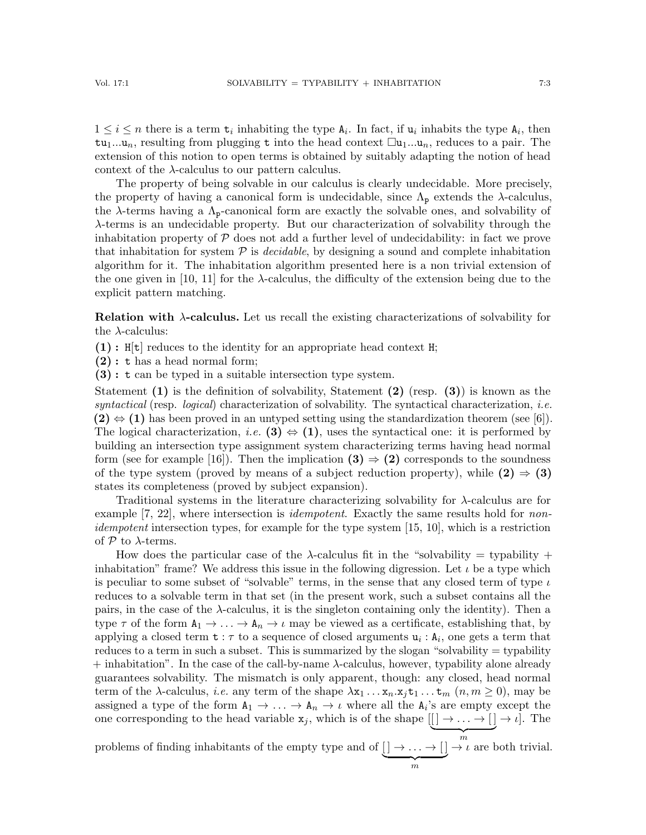$1 \leq i \leq n$  there is a term  $t_i$  inhabiting the type  $A_i$ . In fact, if  $u_i$  inhabits the type  $A_i$ , then  $t_{\text{u}_1...u_n}$ , resulting from plugging t into the head context  $\Box_{u_1...u_n}$ , reduces to a pair. The extension of this notion to open terms is obtained by suitably adapting the notion of head context of the  $\lambda$ -calculus to our pattern calculus.

The property of being solvable in our calculus is clearly undecidable. More precisely, the property of having a canonical form is undecidable, since  $\Lambda_p$  extends the  $\lambda$ -calculus, the  $\lambda$ -terms having a  $\Lambda_{p}$ -canonical form are exactly the solvable ones, and solvability of λ-terms is an undecidable property. But our characterization of solvability through the inhabitation property of  $P$  does not add a further level of undecidability: in fact we prove that inhabitation for system  $P$  is *decidable*, by designing a sound and complete inhabitation algorithm for it. The inhabitation algorithm presented here is a non trivial extension of the one given in [\[10,](#page-26-9) [11\]](#page-26-10) for the  $\lambda$ -calculus, the difficulty of the extension being due to the explicit pattern matching.

Relation with  $\lambda$ -calculus. Let us recall the existing characterizations of solvability for the  $\lambda$ -calculus:

 $(1)$ : H[t] reduces to the identity for an appropriate head context H;

(2) : t has a head normal form;

(3) : t can be typed in a suitable intersection type system.

Statement  $(1)$  is the definition of solvability, Statement  $(2)$  (resp.  $(3)$ ) is known as the syntactical (resp. logical) characterization of solvability. The syntactical characterization, *i.e.*  $(2) \Leftrightarrow (1)$  has been proved in an untyped setting using the standardization theorem (see [\[6\]](#page-26-11)). The logical characterization, *i.e.* (3)  $\Leftrightarrow$  (1), uses the syntactical one: it is performed by building an intersection type assignment system characterizing terms having head normal form (see for example [\[16\]](#page-26-12)). Then the implication  $(3) \Rightarrow (2)$  corresponds to the soundness of the type system (proved by means of a subject reduction property), while  $(2) \Rightarrow (3)$ states its completeness (proved by subject expansion).

Traditional systems in the literature characterizing solvability for  $\lambda$ -calculus are for example [\[7,](#page-26-13) [22\]](#page-26-14), where intersection is *idempotent*. Exactly the same results hold for *non*-idempotent intersection types, for example for the type system [\[15,](#page-26-15) [10\]](#page-26-9), which is a restriction of  $P$  to  $\lambda$ -terms.

How does the particular case of the  $\lambda$ -calculus fit in the "solvability = typability + inhabitation" frame? We address this issue in the following digression. Let  $\iota$  be a type which is peculiar to some subset of "solvable" terms, in the sense that any closed term of type  $\iota$ reduces to a solvable term in that set (in the present work, such a subset contains all the pairs, in the case of the  $\lambda$ -calculus, it is the singleton containing only the identity). Then a type  $\tau$  of the form  $A_1 \to \ldots \to A_n \to \iota$  may be viewed as a certificate, establishing that, by applying a closed term  $t : \tau$  to a sequence of closed arguments  $u_i : A_i$ , one gets a term that reduces to a term in such a subset. This is summarized by the slogan "solvability  $=$  typability  $+$  inhabitation". In the case of the call-by-name  $\lambda$ -calculus, however, typability alone already guarantees solvability. The mismatch is only apparent, though: any closed, head normal term of the  $\lambda$ -calculus, *i.e.* any term of the shape  $\lambda x_1 \ldots x_n \ldots x_j$  t<sub>1</sub>...  $t_m$  ( $n, m \ge 0$ ), may be assigned a type of the form  $A_1 \to \ldots \to A_n \to \iota$  where all the  $A_i$ 's are empty except the one corresponding to the head variable  $x_j$ , which is of the shape  $[[\ ] \rightarrow \ldots \rightarrow [ \ ] \rightarrow \iota].$  The

problems of finding inhabitants of the empty type and of  $\lceil \cdot \rceil \rightarrow \ldots \rightarrow \lceil \cdot \rceil \rightarrow \iota$  are b  $\overbrace{m}$  $\rightarrow \iota$  are both trivial.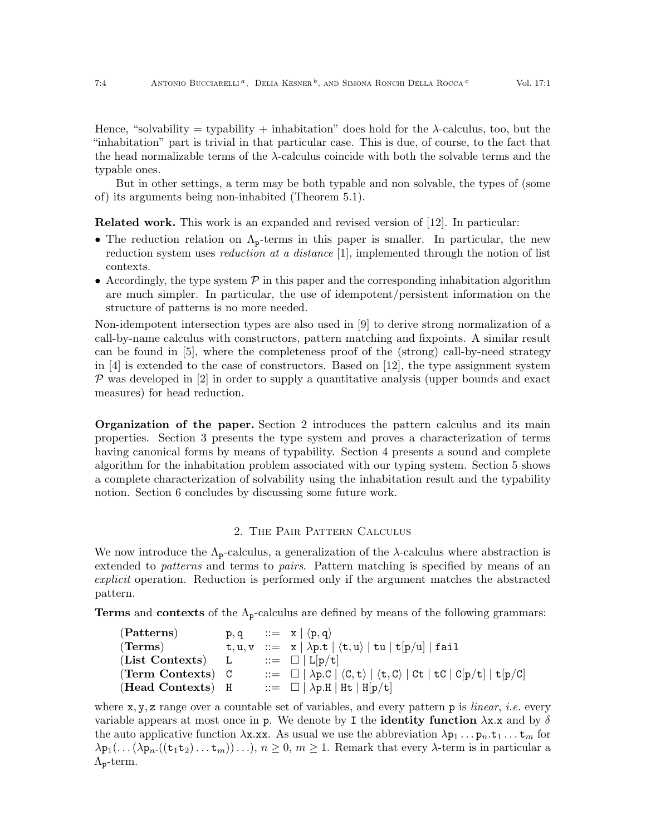Hence, "solvability = typability + inhabitation" does hold for the  $\lambda$ -calculus, too, but the "inhabitation" part is trivial in that particular case. This is due, of course, to the fact that the head normalizable terms of the  $\lambda$ -calculus coincide with both the solvable terms and the typable ones.

But in other settings, a term may be both typable and non solvable, the types of (some of) its arguments being non-inhabited (Theorem [5.1\)](#page-22-0).

Related work. This work is an expanded and revised version of [\[12\]](#page-26-16). In particular:

- The reduction relation on  $\Lambda_{p}$ -terms in this paper is smaller. In particular, the new reduction system uses *reduction at a distance* [\[1\]](#page-25-1), implemented through the notion of list contexts.
- Accordingly, the type system  $\mathcal P$  in this paper and the corresponding inhabitation algorithm are much simpler. In particular, the use of idempotent/persistent information on the structure of patterns is no more needed.

Non-idempotent intersection types are also used in [\[9\]](#page-26-17) to derive strong normalization of a call-by-name calculus with constructors, pattern matching and fixpoints. A similar result can be found in [\[5\]](#page-25-2), where the completeness proof of the (strong) call-by-need strategy in [\[4\]](#page-25-3) is extended to the case of constructors. Based on [\[12\]](#page-26-16), the type assignment system  $\mathcal P$  was developed in [\[2\]](#page-25-4) in order to supply a quantitative analysis (upper bounds and exact measures) for head reduction.

Organization of the paper. Section [2](#page-3-0) introduces the pattern calculus and its main properties. Section [3](#page-8-0) presents the type system and proves a characterization of terms having canonical forms by means of typability. Section [4](#page-13-0) presents a sound and complete algorithm for the inhabitation problem associated with our typing system. Section [5](#page-22-1) shows a complete characterization of solvability using the inhabitation result and the typability notion. Section [6](#page-25-5) concludes by discussing some future work.

#### 2. The Pair Pattern Calculus

<span id="page-3-0"></span>We now introduce the  $\Lambda_{p}$ -calculus, a generalization of the  $\lambda$ -calculus where abstraction is extended to *patterns* and terms to *pairs*. Pattern matching is specified by means of an explicit operation. Reduction is performed only if the argument matches the abstracted pattern.

**Terms** and **contexts** of the  $\Lambda_{p}$ -calculus are defined by means of the following grammars:

| (Patterns)             |  | $p, q$ ::= $x   \langle p, q \rangle$                                                                                                                                                                                                                                                                                                                                                                                 |
|------------------------|--|-----------------------------------------------------------------------------------------------------------------------------------------------------------------------------------------------------------------------------------------------------------------------------------------------------------------------------------------------------------------------------------------------------------------------|
| $(\mathrm{\bf Terms})$ |  | $t, u, v ::= x   \lambda p.t   \langle t, u \rangle   tu   t[p/u]   fail$                                                                                                                                                                                                                                                                                                                                             |
| (List Contexts) L      |  | $ ::= \Box   \mathrm{L}[\mathrm{p}/\mathrm{t}]$                                                                                                                                                                                                                                                                                                                                                                       |
| (Term Contexts) C      |  | $\therefore$ $\Box$ $\Box$ $\Diamond$ $\Diamond$ $\Box$ $\Diamond$ $\Diamond$ $\Diamond$ $\Diamond$ $\Diamond$ $\Box$ $\Diamond$ $\Box$ $\Diamond$ $\Box$ $\Box$ $\Diamond$ $\Box$ $\Diamond$ $\Box$ $\Diamond$ $\Box$ $\Diamond$ $\Box$ $\Diamond$ $\Box$ $\Diamond$ $\Box$ $\Diamond$ $\Box$ $\Diamond$ $\Box$ $\Diamond$ $\Box$ $\Diamond$ $\Box$ $\Diamond$ $\Box$ $\Diamond$ $\Box$ $\Diamond$ $\Box$ $\Diamond$ |
| (Head Contexts) H      |  | $ ::= \Box   \lambda p.H   Ht   H[p/t]$                                                                                                                                                                                                                                                                                                                                                                               |

where  $x, y, z$  range over a countable set of variables, and every pattern p is *linear*, *i.e.* every variable appears at most once in p. We denote by I the **identity function**  $\lambda$ x.x and by  $\delta$ the auto applicative function  $\lambda x. x x$ . As usual we use the abbreviation  $\lambda p_1 \ldots p_n.t_1 \ldots t_m$  for  $\lambda p_1(\ldots(\lambda p_n.((t_1t_2)\ldots t_m))\ldots), n \geq 0, m \geq 1$ . Remark that every  $\lambda$ -term is in particular a  $\Lambda_{p}$ -term.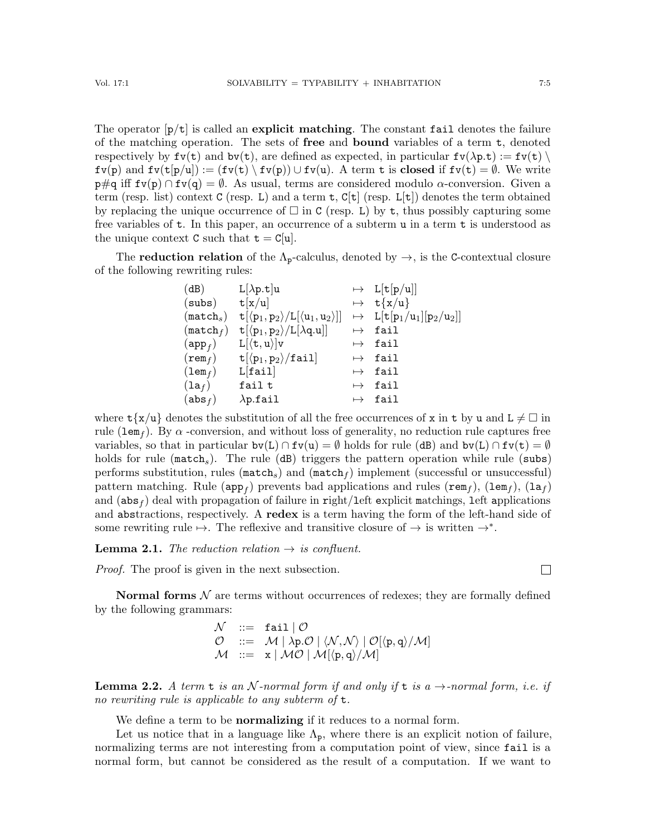The operator  $[p/t]$  is called an explicit matching. The constant fail denotes the failure of the matching operation. The sets of free and bound variables of a term t, denoted respectively by  $fv(t)$  and  $bv(t)$ , are defined as expected, in particular  $fv(\lambda p.t) := fv(t) \setminus$  $f\nu(p)$  and  $f\nu(t[p/u]) := (f\nu(t) \setminus f\nu(p)) \cup f\nu(u)$ . A term t is closed if  $f\nu(t) = \emptyset$ . We write  $p\#q$  iff  $fv(p) \cap fv(q) = \emptyset$ . As usual, terms are considered modulo  $\alpha$ -conversion. Given a term (resp. list) context C (resp. L) and a term  $t$ ,  $C[t]$  (resp. L[t]) denotes the term obtained by replacing the unique occurrence of  $\Box$  in C (resp. L) by t, thus possibly capturing some free variables of  $t$ . In this paper, an occurrence of a subterm  $u$  in a term  $t$  is understood as the unique context C such that  $t = C[u]$ .

The **reduction relation** of the  $\Lambda_p$ -calculus, denoted by  $\rightarrow$ , is the C-contextual closure of the following rewriting rules:

| (dB)                  | $L[\lambda p.t]u$                                                                                 |           | $\mapsto$ L[t[p/u]]                                                              |
|-----------------------|---------------------------------------------------------------------------------------------------|-----------|----------------------------------------------------------------------------------|
| (subs)                | t[x/u]                                                                                            |           | $\mapsto$ t{x/u}                                                                 |
| (match <sub>s</sub> ) | $t[\langle p_1, p_2 \rangle / L[\langle u_1, u_2 \rangle]]$                                       |           | $\mapsto$ L[t[p <sub>1</sub> /u <sub>1</sub> ][p <sub>2</sub> /u <sub>2</sub> ]] |
| $(\texttt{match}_f)$  | $\mathtt{t}[\langle \mathtt{p}_1, \mathtt{p}_2\rangle/\mathtt{L}[\lambda \mathtt{q}.\mathtt{u}]]$ | $\mapsto$ | fail                                                                             |
| $(\mathtt{app}_f)$    | $L[\langle t, u \rangle]v$                                                                        |           | $\mapsto$ fail                                                                   |
| $(\mathtt{rem}_f)$    | $t[\langle p_1, p_2 \rangle / \text{fail}]$                                                       |           | $\mapsto$ fail                                                                   |
| $(\texttt{lem}_f)$    | L[fail]                                                                                           |           | $\mapsto$ fail                                                                   |
| $(\mathtt{la}_f)$     | fail t                                                                                            | $\mapsto$ | fail                                                                             |
| (abs <sub>f</sub> )   | $\lambda$ p.fail                                                                                  | $\mapsto$ | fail                                                                             |

where  $\mathsf{t}\{\mathbf{x}/\mathbf{u}\}\)$  denotes the substitution of all the free occurrences of x in  $\mathsf{t}$  by u and  $\mathsf{L} \neq \square$  in rule (lem<sub>f</sub>). By  $\alpha$  -conversion, and without loss of generality, no reduction rule captures free variables, so that in particular  $bv(L) \cap fv(u) = \emptyset$  holds for rule (dB) and  $bv(L) \cap fv(t) = \emptyset$ holds for rule ( $match<sub>s</sub>$ ). The rule (dB) triggers the pattern operation while rule (subs) performs substitution, rules ( $\text{match}_s$ ) and  $(\text{match}_f)$  implement (successful or unsuccessful) pattern matching. Rule (app<sub>f</sub>) prevents bad applications and rules (rem<sub>f</sub>), (lem<sub>f</sub>), (la<sub>f</sub>) and  $(abs_f)$  deal with propagation of failure in right/left explicit matchings, left applications and abstractions, respectively. A redex is a term having the form of the left-hand side of some rewriting rule  $\mapsto$ . The reflexive and transitive closure of  $\rightarrow$  is written  $\rightarrow^*$ .

<span id="page-4-0"></span>**Lemma 2.1.** The reduction relation  $\rightarrow$  is confluent.

Proof. The proof is given in the next subsection.

Normal forms  $N$  are terms without occurrences of redexes; they are formally defined by the following grammars:

$$
\begin{array}{lll} \mathcal{N} & ::= & \text{fail} \mid \mathcal{O} \\ \mathcal{O} & ::= & \mathcal{M} \mid \lambda p.\mathcal{O} \mid \langle \mathcal{N}, \mathcal{N} \rangle \mid \mathcal{O}[\langle p, q \rangle / \mathcal{M}] \\ \mathcal{M} & ::= & x \mid \mathcal{MO} \mid \mathcal{M}[(p,q)/\mathcal{M}] \end{array}
$$

**Lemma 2.2.** A term  $t$  is an N-normal form if and only if  $t$  is a  $\rightarrow$ -normal form, i.e. if no rewriting rule is applicable to any subterm of t.

We define a term to be **normalizing** if it reduces to a normal form.

Let us notice that in a language like  $\Lambda_p$ , where there is an explicit notion of failure, normalizing terms are not interesting from a computation point of view, since fail is a normal form, but cannot be considered as the result of a computation. If we want to

 $\Box$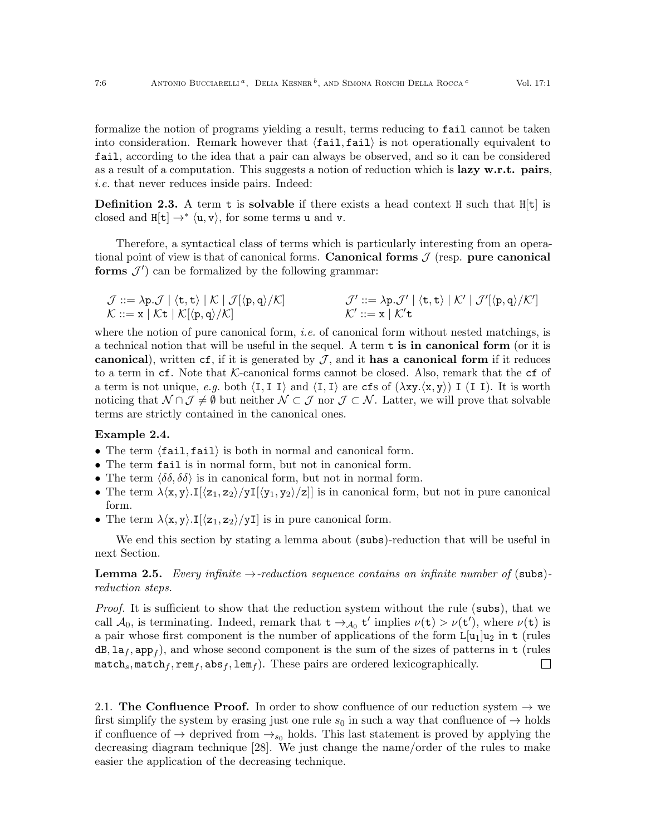formalize the notion of programs yielding a result, terms reducing to fail cannot be taken into consideration. Remark however that  $\langle \text{fail}, \text{fail} \rangle$  is not operationally equivalent to fail, according to the idea that a pair can always be observed, and so it can be considered as a result of a computation. This suggests a notion of reduction which is **lazy w.r.t.** pairs, i.e. that never reduces inside pairs. Indeed:

**Definition 2.3.** A term **t** is **solvable** if there exists a head context **H** such that  $H[t]$  is closed and  $H[t] \rightarrow^* \langle u, v \rangle$ , for some terms u and v.

Therefore, a syntactical class of terms which is particularly interesting from an operational point of view is that of canonical forms. Canonical forms  $J$  (resp. pure canonical forms  $J'$  can be formalized by the following grammar:

$$
\begin{array}{lll} \mathcal{J} ::= \lambda p.\mathcal{J} \mid \langle \texttt{t}, \texttt{t} \rangle \mid \mathcal{K} \mid \mathcal{J}[\langle p, q \rangle / \mathcal{K}] & \mathcal{J}':= \lambda p.\mathcal{J}' \mid \langle \texttt{t}, \texttt{t} \rangle \mid \mathcal{K}' \mid \mathcal{J}'[\langle p, q \rangle / \mathcal{K}'] \\ \mathcal{K} ::= x \mid \mathcal{K} \texttt{t} \mid \mathcal{K}[\langle p, q \rangle / \mathcal{K}] & \mathcal{K}':= x \mid \mathcal{K}' \texttt{t} \end{array}
$$

where the notion of pure canonical form, *i.e.* of canonical form without nested matchings, is a technical notion that will be useful in the sequel. A term  $t$  is in canonical form (or it is canonical), written cf, if it is generated by  $J$ , and it has a canonical form if it reduces to a term in  $cf.$  Note that K-canonical forms cannot be closed. Also, remark that the  $cf$  of a term is not unique, e.g. both  $\langle I, I]$  and  $\langle I, I \rangle$  are cfs of  $(\lambda xy. \langle x, y \rangle)$  I (I I). It is worth noticing that  $\mathcal{N} \cap \mathcal{J} \neq \emptyset$  but neither  $\mathcal{N} \subset \mathcal{J}$  nor  $\mathcal{J} \subset \mathcal{N}$ . Latter, we will prove that solvable terms are strictly contained in the canonical ones.

## Example 2.4.

- The term  $\langle \text{fail}, \text{fail} \rangle$  is both in normal and canonical form.
- The term fail is in normal form, but not in canonical form.
- The term  $\langle \delta \delta, \delta \delta \rangle$  is in canonical form, but not in normal form.
- The term  $\lambda \langle x, y \rangle \cdot I[\langle z_1, z_2 \rangle / yI[\langle y_1, y_2 \rangle / z]]$  is in canonical form, but not in pure canonical form.
- The term  $\lambda \langle x, y \rangle \cdot I[\langle z_1, z_2 \rangle / yI]$  is in pure canonical form.

We end this section by stating a lemma about (subs)-reduction that will be useful in next Section.

## <span id="page-5-0"></span>**Lemma 2.5.** Every infinite  $\rightarrow$ -reduction sequence contains an infinite number of (subs)reduction steps.

Proof. It is sufficient to show that the reduction system without the rule (subs), that we call  $\mathcal{A}_0$ , is terminating. Indeed, remark that  $t \to_{\mathcal{A}_0} t'$  implies  $\nu(t) > \nu(t')$ , where  $\nu(t)$  is a pair whose first component is the number of applications of the form  $L[u_1]u_2$  in t (rules  $dB, \text{la}_f, \text{app}_f$ ), and whose second component is the sum of the sizes of patterns in  $t$  (rules match<sub>s</sub>, match<sub>f</sub>, rem<sub>f</sub>, abs<sub>f</sub>, lem<sub>f</sub>). These pairs are ordered lexicographically.  $\Box$ 

2.1. The Confluence Proof. In order to show confluence of our reduction system  $\rightarrow$  we first simplify the system by erasing just one rule  $s_0$  in such a way that confluence of  $\rightarrow$  holds if confluence of  $\rightarrow$  deprived from  $\rightarrow_{s_0}$  holds. This last statement is proved by applying the decreasing diagram technique [\[28\]](#page-26-18). We just change the name/order of the rules to make easier the application of the decreasing technique.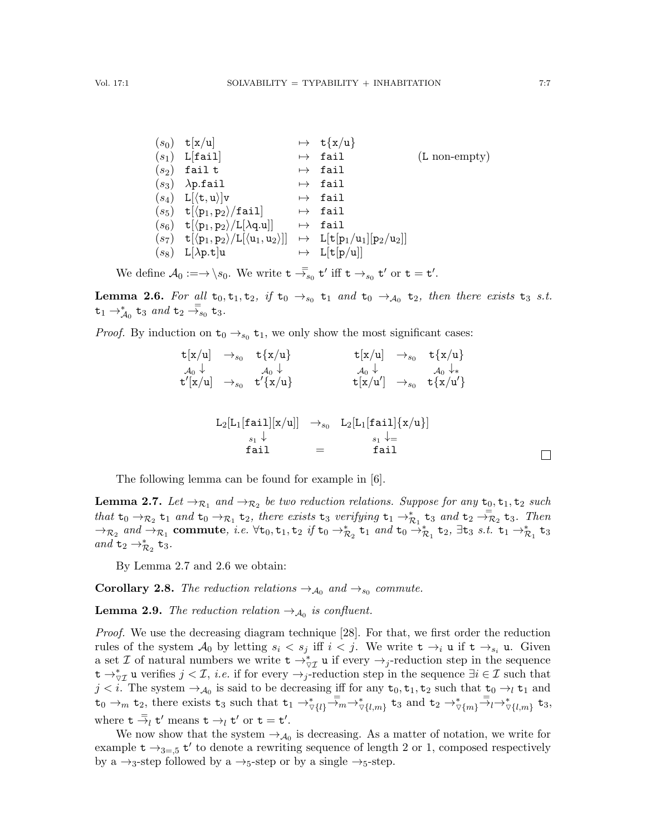| $(s_0)$ t[x/u]                                            | $\mapsto$ t{x/u} |                         |
|-----------------------------------------------------------|------------------|-------------------------|
| $(s_1)$ L[fail]                                           | $\mapsto$ fail   | $(L \text{ non-empty})$ |
| $(s_2)$ fail t                                            | $\mapsto$ fail   |                         |
| $(s_3)$ $\lambda$ p.fail                                  | $\mapsto$ fail   |                         |
| $(s_4) \quad L[\langle \texttt{t}, \texttt{u} \rangle]$ v | $\mapsto$ fail   |                         |
| $(s_5)$ t $[\langle p_1, p_2 \rangle / \text{fail}]$      | $\mapsto$ fail   |                         |
|                                                           |                  |                         |

$$
\begin{array}{llll} (s_6) & \mathbf{t}[\langle \mathbf{p}_1, \mathbf{p}_2 \rangle / \mathbf{L}[\lambda \mathbf{q} . \mathbf{u}]] & \mapsto & \mathbf{fail} \\ (s_7) & \mathbf{t}[\langle \mathbf{p}_1, \mathbf{p}_2 \rangle / \mathbf{L}[\langle \mathbf{u}_1, \mathbf{u}_2 \rangle]] & \mapsto & \mathbf{L}[\mathbf{t}[\mathbf{p}_1/\mathbf{u}_1][\mathbf{p}_2/\mathbf{u}_2]] \\ (s_8) & \mathbf{L}[\lambda \mathbf{p} . \mathbf{t}] \mathbf{u} & \mapsto & \mathbf{L}[\mathbf{t}[\mathbf{p}/\mathbf{u}]] \end{array}
$$

We define  $\mathcal{A}_0 := \rightarrow \setminus s_0$ . We write  $t \stackrel{=}{\rightarrow} s_0 t'$  iff  $t \rightarrow_{s_0} t'$  or  $t = t'$ .

<span id="page-6-1"></span>**Lemma 2.6.** For all  $t_0, t_1, t_2$ , if  $t_0 \rightarrow_{s_0} t_1$  and  $t_0 \rightarrow_{\mathcal{A}_0} t_2$ , then there exists  $t_3$  s.t.  $t_1 \rightarrow_A^* t_3$  and  $t_2 \rightarrow_A^- t_3$ .

*Proof.* By induction on  $t_0 \rightarrow_{s_0} t_1$ , we only show the most significant cases:

$$
\begin{array}{cccc}\n\mathsf{t}[x/u] & \rightarrow_{s_0} & \mathsf{t}\{x/u\} & & \mathsf{t}[x/u] & \rightarrow_{s_0} & \mathsf{t}\{x/u\} \\
\downarrow_{0} \downarrow & & \downarrow_{0} \downarrow & & \downarrow_{0} \downarrow & & \downarrow_{0} \downarrow_{*} \\
\mathsf{t}'[x/u] & \rightarrow_{s_0} & \mathsf{t}'\{x/u\} & & \mathsf{t}[x/u'] & \rightarrow_{s_0} & \mathsf{t}\{x/u'\} \\
\end{array}
$$

$$
L_2[L_1[\text{fail}][x/u]] \rightarrow_{s_0} L_2[L_1[\text{fail}]\{x/u\}]
$$
  
\n
$$
\begin{array}{ccc}\ns_1 \downarrow & & \\
\text{fail} & = & \text{fail}\n\end{array}
$$

The following lemma can be found for example in [\[6\]](#page-26-11).

<span id="page-6-0"></span>**Lemma 2.7.** Let  $\rightarrow_{\mathcal{R}_1}$  and  $\rightarrow_{\mathcal{R}_2}$  be two reduction relations. Suppose for any  $t_0, t_1, t_2$  such that  $t_0 \rightarrow_{\mathcal{R}_2} t_1$  and  $t_0 \rightarrow_{\mathcal{R}_1} t_2$ , there exists  $t_3$  verifying  $t_1 \rightarrow_{\mathcal{R}_1}^* t_3$  and  $t_2 \rightarrow_{\mathcal{R}_2}^* t_3$ . Then  $\rightarrow_{\mathcal{R}_2}$  and  $\rightarrow_{\mathcal{R}_1}$  commute, i.e.  $\forall t_0, t_1, t_2$  if  $t_0 \rightarrow_{\mathcal{R}_2}^* t_1$  and  $t_0 \rightarrow_{\mathcal{R}_1}^* t_2$ ,  $\exists t_3$  s.t.  $t_1 \rightarrow_{\mathcal{R}_1}^* t_3$ and  $t_2 \rightarrow_{\mathcal{R}_2}^* t_3$ .

By Lemma [2.7](#page-6-0) and [2.6](#page-6-1) we obtain:

<span id="page-6-3"></span>**Corollary 2.8.** The reduction relations  $\rightarrow_{A_0}$  and  $\rightarrow_{s_0}$  commute.

<span id="page-6-2"></span>**Lemma 2.9.** The reduction relation  $\rightarrow_{\mathcal{A}_0}$  is confluent.

Proof. We use the decreasing diagram technique [\[28\]](#page-26-18). For that, we first order the reduction rules of the system  $\mathcal{A}_0$  by letting  $s_i < s_j$  iff  $i < j$ . We write  $t \to_{i} u$  if  $t \to_{s_i} u$ . Given a set  $\mathcal I$  of natural numbers we write  $\mathbf t \to_{\forall \mathcal I}^* \mathbf u$  if every  $\to_j$ -reduction step in the sequence  $t \to_{\triangledown \mathcal{I}}^* u$  verifies  $j < \mathcal{I}$ , *i.e.* if for every  $\to_j$ -reduction step in the sequence  $\exists i \in \mathcal{I}$  such that  $j < i$ . The system  $\rightarrow_{\mathcal{A}_0}$  is said to be decreasing iff for any  $t_0, t_1, t_2$  such that  $t_0 \rightarrow_l t_1$  and  $t_0 \rightarrow_m t_2$ , there exists  $t_3$  such that  $t_1 \rightarrow_{\forall \{l\}}^{*} \overline{z}_m \rightarrow_{\forall \{l,m\}}^{*} t_3$  and  $t_2 \rightarrow_{\forall \{m\}}^{*} \overline{z}_l \rightarrow_{\forall \{l,m\}}^{*} t_3$ , where  $\mathbf{t} \stackrel{=}{\rightarrow}_l \mathbf{t}'$  means  $\mathbf{t} \rightarrow_l \mathbf{t}'$  or  $\mathbf{t} = \mathbf{t}'$ .

We now show that the system  $\rightarrow_{\mathcal{A}_0}$  is decreasing. As a matter of notation, we write for example  $t \rightarrow_{3=5} t'$  to denote a rewriting sequence of length 2 or 1, composed respectively by a  $\rightarrow_3$ -step followed by a  $\rightarrow_5$ -step or by a single  $\rightarrow_5$ -step.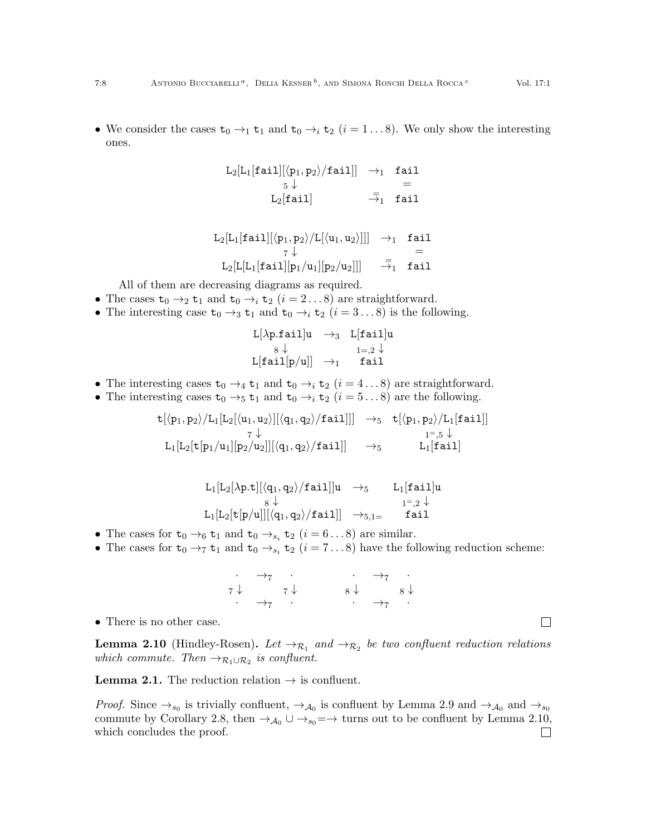• We consider the cases  $t_0 \rightarrow_1 t_1$  and  $t_0 \rightarrow_i t_2$   $(i = 1...8)$ . We only show the interesting ones.

$$
\begin{array}{ccc} \mathtt{L}_2[\mathtt{L}_1[\mathtt{fail}][\langle p_1,p_2\rangle/\mathtt{fail}]] & \rightarrow_1 & \mathtt{fail} \\ & 5 \downarrow & = \\ & \mathtt{L}_2[\mathtt{fail}] & \bar{\rightarrow_1} & \mathtt{fail} \end{array}
$$

$$
\begin{array}{ccc}\nL_2[L_1[\mathtt{fail}][\langle p_1,p_2\rangle/L[\langle u_1,u_2\rangle]]] & \rightarrow_1 & \mathtt{fail} \\
& \quad \tau \downarrow & = \\
L_2[L[L_1[\mathtt{fail}][p_1/u_1][p_2/u_2]]] & \stackrel{=}{\rightarrow}_1 & \mathtt{fail}\n\end{array}
$$

All of them are decreasing diagrams as required.

- The cases  $t_0 \rightarrow_2 t_1$  and  $t_0 \rightarrow_i t_2$   $(i = 2...8)$  are straightforward.
- The interesting case  $t_0 \rightarrow_3 t_1$  and  $t_0 \rightarrow_i t_2$   $(i = 3...8)$  is the following.

$$
\begin{array}{ccc}L[\lambda p. fail]u & \rightarrow_3 & L[fail]u\\ & s \downarrow & & \mathbf{1=},2 \downarrow \\ L[fail[p/u]] & \rightarrow_1 & fail \end{array}
$$

- The interesting cases  $t_0 \rightarrow_4 t_1$  and  $t_0 \rightarrow_i t_2$   $(i = 4...8)$  are straightforward.
- The interesting cases  $t_0 \rightarrow_5 t_1$  and  $t_0 \rightarrow_i t_2$   $(i = 5...8)$  are the following.

$$
\begin{array}{ccc} \mathtt{t}[\langle p_1, p_2 \rangle / L_1[L_2[\langle u_1, u_2 \rangle][\langle q_1, q_2 \rangle / \mathtt{fail}]]] & \rightarrow_5 & \mathtt{t}[\langle p_1, p_2 \rangle / L_1[\mathtt{fail}]] \\ & \hspace{1em} \phantom{ \tau \downarrow } \phantom{ \tau \downarrow } & \phantom{ \tau \downarrow } \phantom{ \tau \downarrow } \phantom{ \tau \downarrow } \phantom{ \tau \downarrow } \phantom{ \tau \downarrow } \phantom{ \tau \downarrow } \phantom{ \tau \downarrow } \phantom{ \tau \downarrow } \phantom{ \tau \downarrow } \phantom{ \tau \downarrow } \phantom{ \tau \downarrow } \phantom{ \tau \downarrow } \phantom{ \tau \downarrow } \phantom{ \tau \downarrow } \phantom{ \tau \downarrow } \phantom{ \tau \downarrow } \phantom{ \tau \downarrow } \phantom{ \tau \downarrow } \phantom{ \tau \downarrow } \phantom{ \tau \downarrow } \phantom{ \tau \downarrow } \phantom{ \tau \downarrow } \phantom{ \tau \downarrow } \phantom{ \tau \downarrow } \phantom{ \tau \downarrow } \phantom{ \tau \downarrow } \phantom{ \tau \downarrow } \phantom{ \tau \downarrow } \phantom{ \tau \downarrow } \phantom{ \tau \downarrow } \phantom{ \tau \downarrow } \phantom{ \tau \downarrow } \phantom{ \tau \downarrow } \phantom{ \tau \downarrow } \phantom{ \tau \downarrow } \phantom{ \tau \downarrow } \phantom{ \tau \downarrow } \phantom{ \tau \downarrow } \phantom{ \tau \downarrow } \phantom{ \tau \downarrow } \phantom{ \tau \downarrow } \phantom{ \tau \downarrow } \phantom{ \tau \downarrow } \phantom{ \tau \downarrow } \phantom{ \tau \downarrow } \phantom{ \tau \downarrow } \phantom{ \tau \downarrow } \phantom{ \tau \downarrow } \phantom{ \tau \downarrow } \phantom{ \tau \downarrow } \phantom{ \tau \downarrow } \phantom{ \tau \downarrow } \phantom{ \tau \downarrow } \phantom{ \tau \downarrow } \phantom{ \tau \downarrow } \phantom{ \tau \downarrow } \phantom{ \tau \downarrow } \phantom{ \tau \downarrow } \phantom{ \tau \downarrow } \phantom{ \tau \downarrow } \phantom{ \tau \downarrow } \phantom{ \tau \downarrow } \phantom{ \tau \downarrow } \phantom
$$

$$
\begin{array}{ccc}L_1[L_2[\lambda p.t][\langle q_1,q_2\rangle/\mathtt{fail}]]u&\to_5& L_1[\mathtt{fail}]u\\ &\phantom{\begin{array}{c}1\leq}8\downarrow&\phantom{\begin{array}{c}1\leq}1\end{array}\\ L_1[L_2[t[p/u]][\langle q_1,q_2\rangle/\mathtt{fail}]]&\to_{5,1=}&&\mathtt{fail}\end{array}\end{array}
$$

- The cases for  $t_0 \rightarrow_6 t_1$  and  $t_0 \rightarrow_{s_i} t_2$   $(i = 6...8)$  are similar.
- The cases for  $t_0 \rightarrow_7 t_1$  and  $t_0 \rightarrow_{s_i} t_2$   $(i = 7...8)$  have the following reduction scheme:

$$
\begin{array}{ccccccc}\n & & & & & & & & & \\
\vdots & & & & & & & & \\
\vdots & & & & & & & \\
\vdots & & & & & & \\
\vdots & & & & & & \\
\end{array}
$$

• There is no other case.

<span id="page-7-0"></span>**Lemma 2.10** (Hindley-Rosen). Let  $\rightarrow_{\mathcal{R}_1}$  and  $\rightarrow_{\mathcal{R}_2}$  be two confluent reduction relations which commute. Then  $\rightarrow_{\mathcal{R}_1 \cup \mathcal{R}_2}$  is confluent.

**Lemma [2.1.](#page-4-0)** The reduction relation  $\rightarrow$  is confluent.

*Proof.* Since  $\rightarrow_{s_0}$  is trivially confluent,  $\rightarrow_{\mathcal{A}_0}$  is confluent by Lemma [2.9](#page-6-2) and  $\rightarrow_{\mathcal{A}_0}$  and  $\rightarrow_{s_0}$ commute by Corollary [2.8,](#page-6-3) then  $\rightarrow_{\mathcal{A}_0} \cup \rightarrow_{s_0} = \rightarrow$  turns out to be confluent by Lemma [2.10,](#page-7-0) which concludes the proof. $\Box$ 

 $\Box$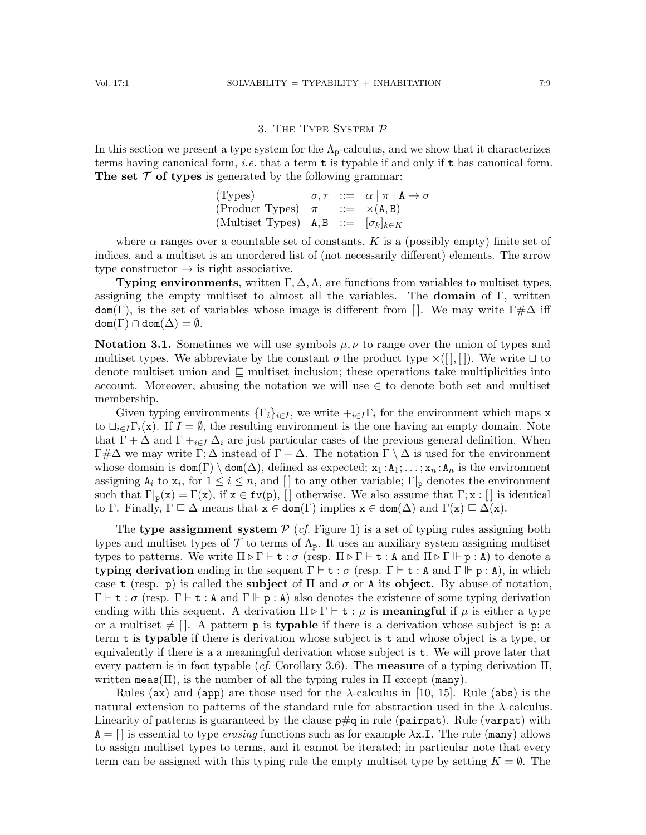## 3. The Type System P

<span id="page-8-0"></span>In this section we present a type system for the  $\Lambda_{p}$ -calculus, and we show that it characterizes terms having canonical form, *i.e.* that a term  $t$  is typable if and only if  $t$  has canonical form. The set  $\mathcal T$  of types is generated by the following grammar:

(Types) 
$$
\sigma, \tau
$$
 ::=  $\alpha | \pi | A \rightarrow \sigma$   
\n(Product Types)  $\pi$  ::=  $\times$ (A, B)  
\n(Multiset Types) A, B ::=  $[\sigma_k]_{k \in K}$ 

where  $\alpha$  ranges over a countable set of constants, K is a (possibly empty) finite set of indices, and a multiset is an unordered list of (not necessarily different) elements. The arrow type constructor  $\rightarrow$  is right associative.

**Typing environments**, written  $\Gamma$ ,  $\Delta$ ,  $\Lambda$ , are functions from variables to multiset types, assigning the empty multiset to almost all the variables. The **domain** of  $\Gamma$ , written dom(Γ), is the set of variables whose image is different from []. We may write  $\Gamma \# \Delta$  iff  $dom(\Gamma) \cap dom(\Delta) = \emptyset.$ 

**Notation 3.1.** Sometimes we will use symbols  $\mu, \nu$  to range over the union of types and multiset types. We abbreviate by the constant  $o$  the product type  $\times([, [])$ . We write  $\sqcup$  to denote multiset union and  $\Box$  multiset inclusion; these operations take multiplicities into account. Moreover, abusing the notation we will use  $\in$  to denote both set and multiset membership.

Given typing environments  $\{\Gamma_i\}_{i\in I}$ , we write  $+_{i\in I}\Gamma_i$  for the environment which maps x to  $\bigcup_{i\in I}\Gamma_i(\mathbf{x})$ . If  $I=\emptyset$ , the resulting environment is the one having an empty domain. Note that  $\Gamma + \Delta$  and  $\Gamma +_{i \in I} \Delta_i$  are just particular cases of the previous general definition. When  $\Gamma \neq \Delta$  we may write  $\Gamma$ ;  $\Delta$  instead of  $\Gamma + \Delta$ . The notation  $\Gamma \setminus \Delta$  is used for the environment whose domain is  $\text{dom}(\Gamma) \setminus \text{dom}(\Delta)$ , defined as expected;  $x_1 : A_1 : \ldots : x_n : A_n$  is the environment assigning  $A_i$  to  $x_i$ , for  $1 \leq i \leq n$ , and [] to any other variable;  $\Gamma|_{p}$  denotes the environment such that  $\Gamma_{\mathbf{p}}(\mathbf{x}) = \Gamma(\mathbf{x})$ , if  $\mathbf{x} \in \mathbf{fv}(\mathbf{p})$ , [] otherwise. We also assume that  $\Gamma$ ;  $\mathbf{x}$  : [] is identical to Γ. Finally,  $\Gamma \sqsubseteq \Delta$  means that  $x \in \text{dom}(\Gamma)$  implies  $x \in \text{dom}(\Delta)$  and  $\Gamma(x) \sqsubseteq \Delta(x)$ .

The type assignment system  $P$  (*cf.* Figure [1\)](#page-9-0) is a set of typing rules assigning both types and multiset types of  $\mathcal T$  to terms of  $\Lambda_p$ . It uses an auxiliary system assigning multiset types to patterns. We write  $\Pi \triangleright \Gamma \vdash t : \sigma$  (resp.  $\Pi \triangleright \Gamma \vdash t : A$  and  $\Pi \triangleright \Gamma \vdash p : A$ ) to denote a typing derivation ending in the sequent  $\Gamma \vdash t : \sigma$  (resp.  $\Gamma \vdash t : A$  and  $\Gamma \Vdash p : A$ ), in which case t (resp. p) is called the **subject** of  $\Pi$  and  $\sigma$  or A its object. By abuse of notation,  $\Gamma \vdash t : \sigma$  (resp.  $\Gamma \vdash t : A$  and  $\Gamma \Vdash p : A$ ) also denotes the existence of some typing derivation ending with this sequent. A derivation  $\Pi \triangleright \Gamma \vdash t : \mu$  is **meaningful** if  $\mu$  is either a type or a multiset  $\neq$  []. A pattern **p** is **typable** if there is a derivation whose subject is **p**; a term t is typable if there is derivation whose subject is t and whose object is a type, or equivalently if there is a a meaningful derivation whose subject is t. We will prove later that every pattern is in fact typable (*cf.* Corollary [3.6\)](#page-11-0). The **measure** of a typing derivation  $\Pi$ , written meas( $\Pi$ ), is the number of all the typing rules in  $\Pi$  except (many).

Rules (ax) and (app) are those used for the  $\lambda$ -calculus in [\[10,](#page-26-9) [15\]](#page-26-15). Rule (abs) is the natural extension to patterns of the standard rule for abstraction used in the  $\lambda$ -calculus. Linearity of patterns is guaranteed by the clause  $p\#q$  in rule (pairpat). Rule (varpat) with  $A = ||$  is essential to type *erasing* functions such as for example  $\lambda x$ .I. The rule (many) allows to assign multiset types to terms, and it cannot be iterated; in particular note that every term can be assigned with this typing rule the empty multiset type by setting  $K = \emptyset$ . The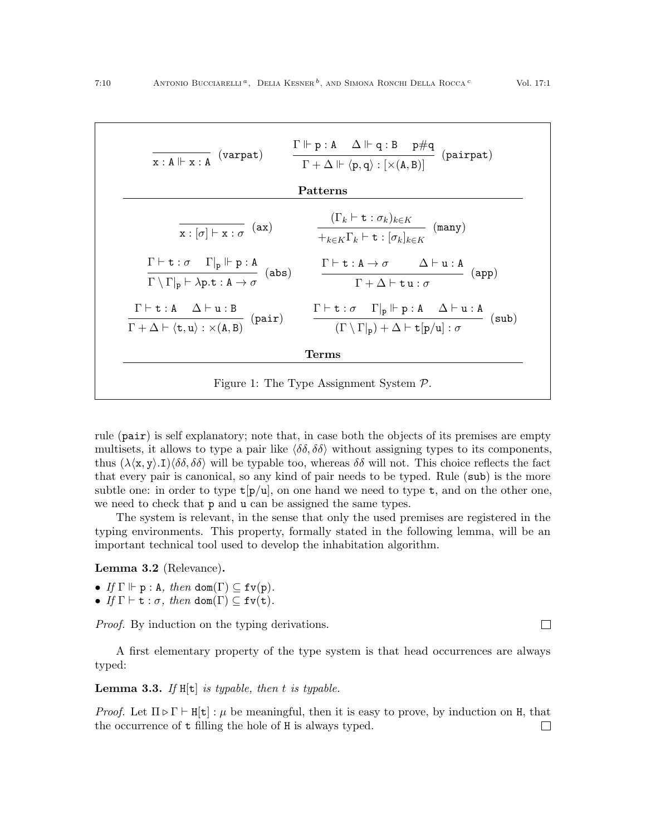

<span id="page-9-0"></span>rule  $(\text{pair})$  is self explanatory; note that, in case both the objects of its premises are empty multisets, it allows to type a pair like  $\langle \delta \delta, \delta \delta \rangle$  without assigning types to its components, thus  $(\lambda \langle x, y \rangle \cdot I) \langle \delta \delta, \delta \delta \rangle$  will be typable too, whereas  $\delta \delta$  will not. This choice reflects the fact that every pair is canonical, so any kind of pair needs to be typed. Rule (sub) is the more subtle one: in order to type  $t[p/u]$ , on one hand we need to type  $t$ , and on the other one, we need to check that p and u can be assigned the same types.

The system is relevant, in the sense that only the used premises are registered in the typing environments. This property, formally stated in the following lemma, will be an important technical tool used to develop the inhabitation algorithm.

<span id="page-9-1"></span>Lemma 3.2 (Relevance).

- If  $\Gamma \Vdash p : A$ , then dom( $\Gamma$ )  $\subseteq$  fv(p).
- If  $\Gamma \vdash t : \sigma$ , then dom( $\Gamma$ )  $\subseteq$  fv(t).

Proof. By induction on the typing derivations.

A first elementary property of the type system is that head occurrences are always typed:

<span id="page-9-2"></span>**Lemma 3.3.** If  $H[t]$  is typable, then t is typable.

*Proof.* Let  $\Pi \triangleright \Gamma \vdash H[t] : \mu$  be meaningful, then it is easy to prove, by induction on H, that the occurrence of t filling the hole of H is always typed. $\Box$ 

 $\Box$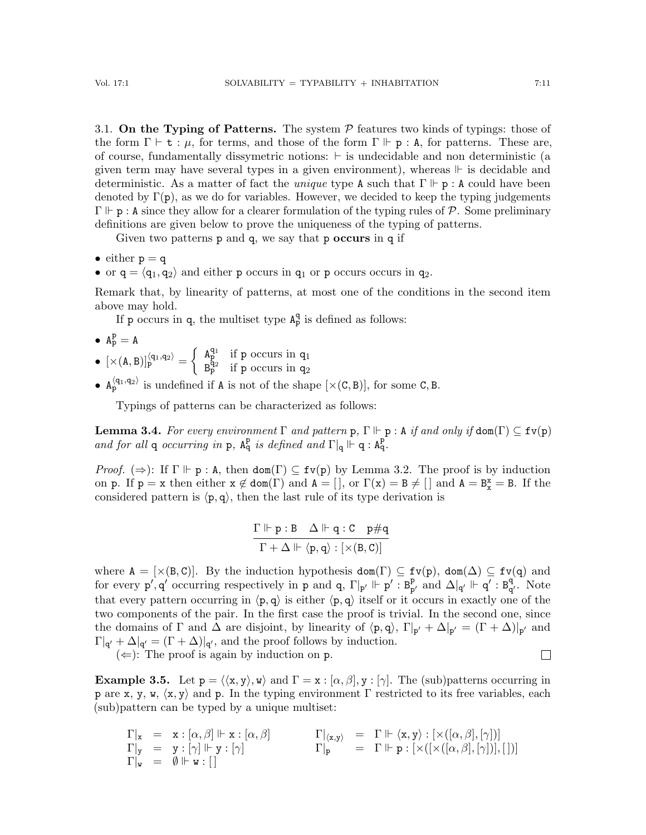3.1. On the Typing of Patterns. The system  $P$  features two kinds of typings: those of the form  $\Gamma \vdash t : \mu$ , for terms, and those of the form  $\Gamma \Vdash p : A$ , for patterns. These are, of course, fundamentally dissymetric notions:  $\vdash$  is undecidable and non deterministic (a given term may have several types in a given environment), whereas  $\mathbb F$  is decidable and deterministic. As a matter of fact the *unique* type A such that  $\Gamma \Vdash p : A$  could have been denoted by  $\Gamma(\mathbf{p})$ , as we do for variables. However, we decided to keep the typing judgements  $\Gamma \Vdash p : A$  since they allow for a clearer formulation of the typing rules of P. Some preliminary definitions are given below to prove the uniqueness of the typing of patterns.

Given two patterns  $p$  and  $q$ , we say that  $p$  occurs in  $q$  if

• either 
$$
p = q
$$

• or  $q = \langle q_1, q_2 \rangle$  and either p occurs in  $q_1$  or p occurs occurs in  $q_2$ .

Remark that, by linearity of patterns, at most one of the conditions in the second item above may hold.

If p occurs in q, the multiset type  $A_p^q$  is defined as follows:

- $A_P^P = A$
- $[\times (A, B)]_p^{\langle q_1, q_2 \rangle} = \begin{cases} A_p^{q_1} & \text{if } p \text{ occurs in } q_1 \\ p_1^{q_2} & \text{if } p \text{ occurs in } q_2 \end{cases}$  $B_{p}^{\bar{q}_{2}}$  if p occurs in  $q_{2}$
- $A_p^{\langle q_1, q_2 \rangle}$  is undefined if A is not of the shape  $[\times (C, B)]$ , for some C, B.

Typings of patterns can be characterized as follows:

<span id="page-10-0"></span>**Lemma 3.4.** For every environment  $\Gamma$  and pattern  $p$ ,  $\Gamma \Vdash p$  : A if and only if  $\text{dom}(\Gamma) \subseteq \text{fv}(p)$ and for all q occurring in p,  $A_q^p$  is defined and  $\Gamma|_q \Vdash q : A_q^p$ .

Proof.  $(\Rightarrow)$ : If  $\Gamma \Vdash p : A$ , then dom( $\Gamma$ )  $\subseteq$  fv(p) by Lemma [3.2.](#page-9-1) The proof is by induction on p. If  $p = x$  then either  $x \notin dom(\Gamma)$  and  $A = []$ , or  $\Gamma(x) = B \neq []$  and  $A = B_x^x = B$ . If the considered pattern is  $\langle p, q \rangle$ , then the last rule of its type derivation is

$$
\frac{\Gamma \Vdash p : B \quad \Delta \Vdash q : C \quad p \# q}{\Gamma + \Delta \Vdash \langle p, q \rangle : [\times (B, C)]}
$$

where  $A = [ \times (B, C) ]$ . By the induction hypothesis dom(T)  $\subseteq$  fv(p), dom( $\Delta$ )  $\subseteq$  fv(q) and for every  $p', q'$  occurring respectively in p and q,  $\Gamma|_{p'} \Vdash p' : B_p^p$  $_{p}^{p}$  and  $\Delta|_{q'}$   $\Vdash q'$  :  $B_{q}^{q}$  $_q^q$ . Note that every pattern occurring in  $\langle p, q \rangle$  is either  $\langle p, q \rangle$  itself or it occurs in exactly one of the two components of the pair. In the first case the proof is trivial. In the second one, since the domains of  $\Gamma$  and  $\Delta$  are disjoint, by linearity of  $\langle \mathbf{p}, \mathbf{q} \rangle$ ,  $\Gamma |_{\mathbf{p}'} + \Delta |_{\mathbf{p}'} = (\Gamma + \Delta)|_{\mathbf{p}'}$  and  $\Gamma|_{q'} + \Delta|_{q'} = (\Gamma + \Delta)|_{q'}$ , and the proof follows by induction.  $\Box$ 

 $(\Leftarrow)$ : The proof is again by induction on p.

**Example 3.5.** Let  $p = \langle \langle x, y \rangle, w \rangle$  and  $\Gamma = x : [\alpha, \beta], y : [\gamma]$ . The (sub)patterns occurring in p are x, y, w,  $\langle x, y \rangle$  and p. In the typing environment  $\Gamma$  restricted to its free variables, each (sub)pattern can be typed by a unique multiset:

$$
\begin{array}{rcllcl} \Gamma|_{\mathbf{x}} & = & \mathbf{x}: [\alpha,\beta]\Vdash \mathbf{x}: [\alpha,\beta] & \qquad & \Gamma|_{\langle \mathbf{x},\mathbf{y}\rangle} & = & \Gamma \Vdash \langle \mathbf{x},\mathbf{y}\rangle : [\times([\alpha,\beta],[\gamma])] \\ \Gamma|_{\mathbf{y}} & = & \mathbf{y}: [\gamma]\Vdash \mathbf{y}: [\gamma] & \qquad & \Gamma|_{\mathbf{p}} & = & \Gamma \Vdash \mathbf{p}: [\times([\times([\alpha,\beta],[\gamma])],[\gamma])] \\ \Gamma|_{\mathbf{w}} & = & \emptyset \Vdash \mathbf{w}: [] & \end{array}
$$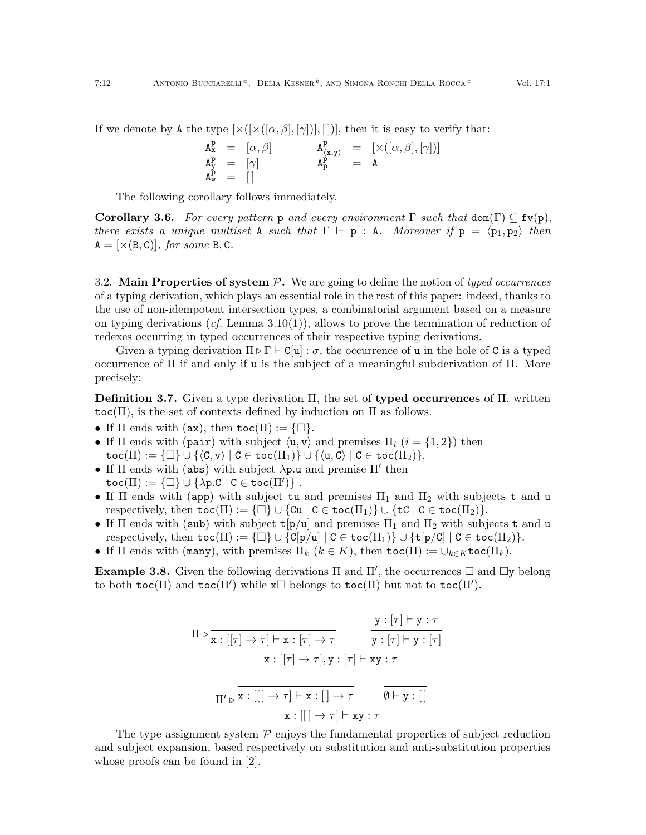$$
\begin{array}{rclcl} A^P_x&=&[\alpha,\beta]&&&A^P_{\langle x,y\rangle}&=&[\times([\alpha,\beta],[\gamma])]\\ A^P_y&=&[\gamma]&&&A^P_p&=&A\\ A^P_w&=&[]&&\\ \end{array}
$$

The following corollary follows immediately.

<span id="page-11-0"></span>**Corollary 3.6.** For every pattern p and every environment  $\Gamma$  such that  $\text{dom}(\Gamma) \subseteq \text{fv}(p)$ , there exists a unique multiset A such that  $\Gamma \Vdash p : A$ . Moreover if  $p = \langle p_1, p_2 \rangle$  then  $A = [\times (B, C)],$  for some B, C.

3.2. Main Properties of system  $P$ . We are going to define the notion of typed occurrences of a typing derivation, which plays an essential role in the rest of this paper: indeed, thanks to the use of non-idempotent intersection types, a combinatorial argument based on a measure on typing derivations  $(cf.$  Lemma  $3.10(1)$  $3.10(1)$ ), allows to prove the termination of reduction of redexes occurring in typed occurrences of their respective typing derivations.

Given a typing derivation  $\Pi \triangleright \Gamma \vdash C[\mathbf{u}] : \sigma$ , the occurrence of **u** in the hole of **C** is a typed occurrence of Π if and only if u is the subject of a meaningful subderivation of Π. More precisely:

**Definition 3.7.** Given a type derivation  $\Pi$ , the set of **typed occurrences** of  $\Pi$ , written  $\text{toc}(\Pi)$ , is the set of contexts defined by induction on  $\Pi$  as follows.

- If  $\Pi$  ends with (ax), then  $\text{toc}(\Pi) := {\Box}.$
- If  $\Pi$  ends with (pair) with subject  $\langle u, v \rangle$  and premises  $\Pi_i$   $(i = \{1, 2\})$  then  $\text{toc}(\Pi) := {\Box} \cup {\langle C, v \rangle | C \in \text{toc}(\Pi_1) } \cup {\langle u, C \rangle | C \in \text{toc}(\Pi_2)}.$
- If  $\Pi$  ends with (abs) with subject  $\lambda p.u$  and premise  $\Pi'$  then  $\texttt{toc}(\Pi) := \{\Box\} \cup \{\lambda p.C \mid C \in \texttt{toc}(\Pi')\} \;.$
- If  $\Pi$  ends with (app) with subject tu and premises  $\Pi_1$  and  $\Pi_2$  with subjects t and u respectively, then  $\text{toc}(\Pi) := {\Box} \cup {\{Cu | C \in \text{toc}(\Pi_1)\} \cup {\{tc | C \in \text{toc}(\Pi_2)\}}.$
- If  $\Pi$  ends with (sub) with subject  $t[p/u]$  and premises  $\Pi_1$  and  $\Pi_2$  with subjects t and u respectively, then  $\texttt{toc}(\Pi) := {\Box} \cup {\{C[p/u] \mid C \in \texttt{toc}(\Pi_1)\} \cup {\{t[p/c] \mid C \in \texttt{toc}(\Pi_2)\}}.$
- If  $\Pi$  ends with (many), with premises  $\Pi_k$   $(k \in K)$ , then  $\text{toc}(\Pi) := \bigcup_{k \in K} \text{toc}(\Pi_k)$ .

**Example 3.8.** Given the following derivations  $\Pi$  and  $\Pi'$ , the occurrences  $\Box$  and  $\Box$ y belong to both toc( $\Pi$ ) and toc( $\Pi'$ ) while  $\mathbf{x} \Box$  belongs to toc( $\Pi$ ) but not to toc( $\Pi'$ ).

$$
\Pi \triangleright \frac{\nabla : [\tau] \rightarrow \tau \cdot [\tau] \rightarrow \tau}{\nabla : [[\tau] \rightarrow \tau] \cdot \nabla : [\tau] \rightarrow \tau} \qquad \frac{\nabla : [\tau] \vdash y : \tau}{\nabla : [\tau] \vdash y : [\tau]} \\
\n\overline{\nabla : [[\tau] \rightarrow \tau], y : [\tau] \vdash xy : \tau} \\
\Pi' \triangleright \frac{\nabla : [[] \rightarrow \tau] \vdash x : [] \rightarrow \tau}{\nabla : [[] \rightarrow \tau] \vdash xy : \tau} \\
\overline{\nabla : [[] \rightarrow \tau] \vdash xy : \tau}
$$

The type assignment system  $P$  enjoys the fundamental properties of subject reduction and subject expansion, based respectively on substitution and anti-substitution properties whose proofs can be found in [\[2\]](#page-25-4).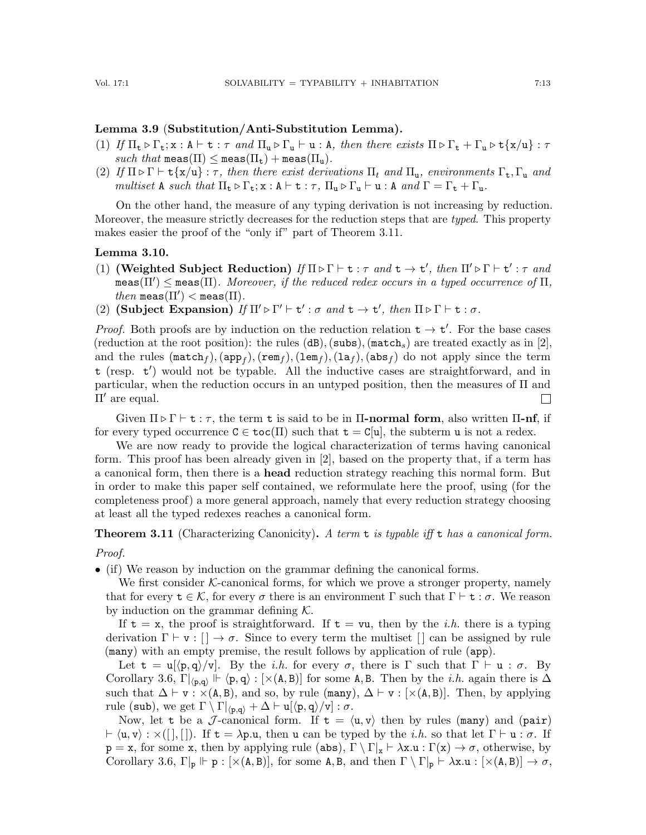## <span id="page-12-4"></span>Lemma 3.9 (Substitution/Anti-Substitution Lemma).

- <span id="page-12-5"></span>(1) If  $\Pi_{\bf t} \triangleright \Gamma_{\bf t}$ ;  ${\bf x}$  :  $A \vdash {\bf t}$  :  $\tau$  and  $\Pi_{\bf u} \triangleright \Gamma_{\bf u} \vdash {\bf u}$  : A, then there exists  $\Pi \triangleright \Gamma_{\bf t} + \Gamma_{\bf u} \triangleright {\bf t} \{ {\bf x}/{\bf u} \}$  :  $\tau$ such that  $\text{meas}(\Pi) \leq \text{meas}(\Pi_t) + \text{meas}(\Pi_u)$ .
- (2) If  $\Pi \triangleright \Gamma \vdash t\{x/u\} : \tau$ , then there exist derivations  $\Pi_t$  and  $\Pi_u$ , environments  $\Gamma_t, \Gamma_u$  and multiset A such that  $\Pi_{\mathbf{t}} \triangleright \Gamma_{\mathbf{t}}; \mathbf{x} : \mathbf{A} \vdash \mathbf{t} : \tau$ ,  $\Pi_{\mathbf{u}} \triangleright \Gamma_{\mathbf{u}} \vdash \mathbf{u} : \mathbf{A} \text{ and } \Gamma = \Gamma_{\mathbf{t}} + \Gamma_{\mathbf{u}}$ .

On the other hand, the measure of any typing derivation is not increasing by reduction. Moreover, the measure strictly decreases for the reduction steps that are typed. This property makes easier the proof of the "only if" part of Theorem [3.11.](#page-12-0)

#### <span id="page-12-1"></span>Lemma 3.10.

- <span id="page-12-2"></span>(1) (Weighted Subject Reduction) If  $\Pi \triangleright \Gamma \vdash t : \tau$  and  $t \to t'$ , then  $\Pi' \triangleright \Gamma \vdash t' : \tau$  and  $\texttt{meas}(\Pi') \leq \texttt{meas}(\Pi)$ . Moreover, if the reduced redex occurs in a typed occurrence of  $\Pi$ ,  $then$  meas $(\Pi') <$  meas $(\Pi)$ .
- <span id="page-12-3"></span>(2) (Subject Expansion) If  $\Pi' \triangleright \Gamma' \vdash t' : \sigma$  and  $t \to t'$ , then  $\Pi \triangleright \Gamma \vdash t : \sigma$ .

*Proof.* Both proofs are by induction on the reduction relation  $t \to t'$ . For the base cases (reduction at the root position): the rules  $(dB)$ , (subs), (match<sub>s</sub>) are treated exactly as in [\[2\]](#page-25-4), and the rules  $(\texttt{match}_f),(\texttt{app}_f),(\texttt{rem}_f),(\texttt{lem}_f),(\texttt{lab}_f),(\texttt{abs}_f)$  do not apply since the term t (resp. t') would not be typable. All the inductive cases are straightforward, and in particular, when the reduction occurs in an untyped position, then the measures of  $\Pi$  and  $\Pi'$  are equal.  $\Box$ 

Given  $\Pi \triangleright \Gamma \vdash t : \tau$ , the term t is said to be in  $\Pi$ -normal form, also written  $\Pi$ -nf, if for every typed occurrence  $C \in \text{toc}(\Pi)$  such that  $\textbf{t} = C[\textbf{u}]$ , the subterm u is not a redex.

We are now ready to provide the logical characterization of terms having canonical form. This proof has been already given in [\[2\]](#page-25-4), based on the property that, if a term has a canonical form, then there is a head reduction strategy reaching this normal form. But in order to make this paper self contained, we reformulate here the proof, using (for the completeness proof) a more general approach, namely that every reduction strategy choosing at least all the typed redexes reaches a canonical form.

<span id="page-12-0"></span>**Theorem 3.11** (Characterizing Canonicity). A term t is typable iff t has a canonical form. Proof.

• (if) We reason by induction on the grammar defining the canonical forms.

We first consider  $K$ -canonical forms, for which we prove a stronger property, namely that for every  $\mathbf{t} \in \mathcal{K}$ , for every  $\sigma$  there is an environment  $\Gamma$  such that  $\Gamma \vdash \mathbf{t} : \sigma$ . We reason by induction on the grammar defining  $K$ .

If  $t = x$ , the proof is straightforward. If  $t = \nu u$ , then by the *i.h.* there is a typing derivation  $\Gamma \vdash v : [] \to \sigma$ . Since to every term the multiset  $[]$  can be assigned by rule (many) with an empty premise, the result follows by application of rule (app).

Let  $t = u[(p, q)/v]$ . By the *i.h.* for every  $\sigma$ , there is  $\Gamma$  such that  $\Gamma \vdash u : \sigma$ . By Corollary [3.6,](#page-11-0)  $\Gamma|_{\langle p,q\rangle} \Vdash \langle p,q\rangle : [\times(A,B)]$  for some A, B. Then by the *i.h.* again there is  $\Delta$ such that  $\Delta \vdash v : \times (A, B)$ , and so, by rule (many),  $\Delta \vdash v : [\times (A, B)]$ . Then, by applying rule (sub), we get  $\Gamma \setminus \Gamma|_{\langle p,q\rangle} + \Delta \vdash u[\langle p,q\rangle/v] : \sigma$ .

Now, let t be a J-canonical form. If  $t = \langle u, v \rangle$  then by rules (many) and (pair)  $\vdash \langle u, v \rangle : \times ([] , []).$  If  $t = \lambda p.u$ , then u can be typed by the *i.h.* so that let  $\Gamma \vdash u : \sigma$ . If  $p = x$ , for some x, then by applying rule (abs),  $\Gamma \setminus \Gamma | x \vdash \lambda x.u : \Gamma(x) \to \sigma$ , otherwise, by Corollary [3.6,](#page-11-0)  $\Gamma|_p \Vdash p : [\times(A, B)],$  for some A, B, and then  $\Gamma \setminus \Gamma|_p \vdash \lambda x.u : [\times(A, B)] \to \sigma$ ,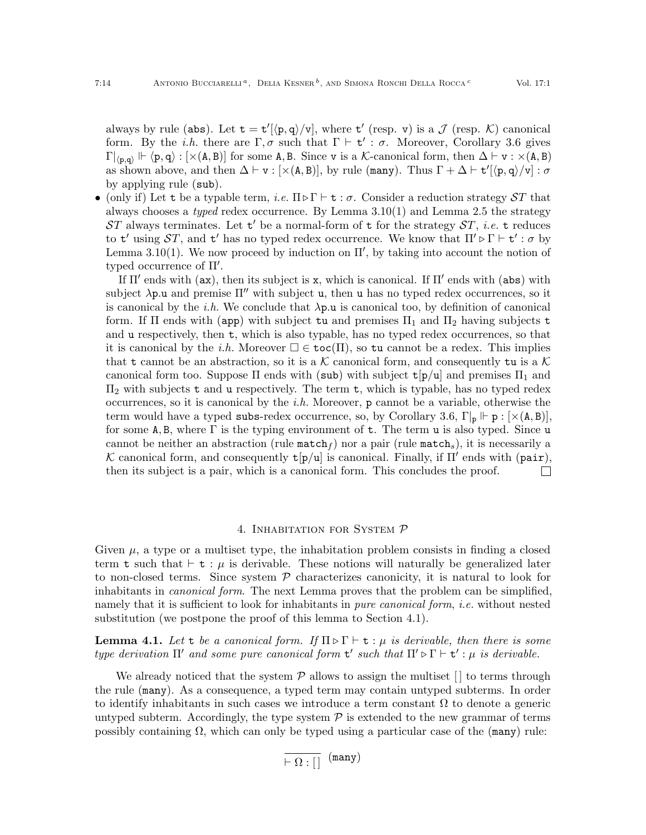always by rule (abs). Let  $t = t'[\langle p, q \rangle/\nu]$ , where  $t'$  (resp. v) is a  $\mathcal J$  (resp. K) canonical form. By the *i.h.* there are  $\Gamma, \sigma$  such that  $\Gamma \vdash t' : \sigma$ . Moreover, Corollary [3.6](#page-11-0) gives  $\Gamma|_{\langle p,q\rangle} \Vdash \langle p,q\rangle : [\times(A,B)]$  for some A, B. Since v is a K-canonical form, then  $\Delta \vdash v : \times(A,B)$ as shown above, and then  $\Delta \vdash v : [\times(A, B)],$  by rule (many). Thus  $\Gamma + \Delta \vdash t'[\langle p, q \rangle/v] : \sigma$ by applying rule (sub).

• (only if) Let t be a typable term, *i.e.*  $\Pi \triangleright \Gamma \vdash t : \sigma$ . Consider a reduction strategy  $ST$  that always chooses a *typed* redex occurrence. By Lemma  $3.10(1)$  $3.10(1)$  and Lemma [2.5](#page-5-0) the strategy  $ST$  always terminates. Let  $t'$  be a normal-form of t for the strategy  $ST$ , *i.e.* t reduces to  $t'$  using  $ST$ , and  $t'$  has no typed redex occurrence. We know that  $\Pi' \triangleright \Gamma \vdash t' : \sigma$  by Lemma [3.10\(](#page-12-1)[1\)](#page-12-2). We now proceed by induction on  $\Pi'$ , by taking into account the notion of typed occurrence of  $\Pi'$ .

If  $\Pi'$  ends with (ax), then its subject is x, which is canonical. If  $\Pi'$  ends with (abs) with subject  $\lambda p.u$  and premise  $\Pi''$  with subject u, then u has no typed redex occurrences, so it is canonical by the *i.h.* We conclude that  $\lambda p.u$  is canonical too, by definition of canonical form. If  $\Pi$  ends with (app) with subject tu and premises  $\Pi_1$  and  $\Pi_2$  having subjects t and u respectively, then t, which is also typable, has no typed redex occurrences, so that it is canonical by the i.h. Moreover  $\square \in \mathtt{toc}(\Pi)$ , so tu cannot be a redex. This implies that t cannot be an abstraction, so it is a K canonical form, and consequently tu is a K canonical form too. Suppose  $\Pi$  ends with (sub) with subject  $t[p/u]$  and premises  $\Pi_1$  and  $\Pi_2$  with subjects t and u respectively. The term t, which is typable, has no typed redex occurrences, so it is canonical by the *i.h.* Moreover, **p** cannot be a variable, otherwise the term would have a typed subs-redex occurrence, so, by Corollary [3.6,](#page-11-0)  $\Gamma|_p \Vdash p : [\times(A, B)]$ for some A, B, where  $\Gamma$  is the typing environment of t. The term u is also typed. Since u cannot be neither an abstraction (rule  $\texttt{match}_f$ ) nor a pair (rule  $\texttt{match}_s$ ), it is necessarily a K canonical form, and consequently  $t[p/u]$  is canonical. Finally, if Π' ends with (pair), then its subject is a pair, which is a canonical form. This concludes the proof.  $\Box$ 

## 4. INHABITATION FOR SYSTEM P

<span id="page-13-0"></span>Given  $\mu$ , a type or a multiset type, the inhabitation problem consists in finding a closed term t such that  $\vdash$  t :  $\mu$  is derivable. These notions will naturally be generalized later to non-closed terms. Since system  $P$  characterizes canonicity, it is natural to look for inhabitants in *canonical form*. The next Lemma proves that the problem can be simplified, namely that it is sufficient to look for inhabitants in *pure canonical form, i.e.* without nested substitution (we postpone the proof of this lemma to Section [4.1\)](#page-15-0).

<span id="page-13-1"></span>**Lemma 4.1.** Let t be a canonical form. If  $\Pi \triangleright \Gamma \vdash t : \mu$  is derivable, then there is some type derivation  $\Pi'$  and some pure canonical form  $t'$  such that  $\Pi' \triangleright \Gamma \vdash t' : \mu$  is derivable.

We already noticed that the system  $\mathcal P$  allows to assign the multiset  $\lceil \rceil$  to terms through the rule (many). As a consequence, a typed term may contain untyped subterms. In order to identify inhabitants in such cases we introduce a term constant  $\Omega$  to denote a generic untyped subterm. Accordingly, the type system  $P$  is extended to the new grammar of terms possibly containing  $\Omega$ , which can only be typed using a particular case of the (many) rule:

 $\overline{+ \Omega : |}$  (many)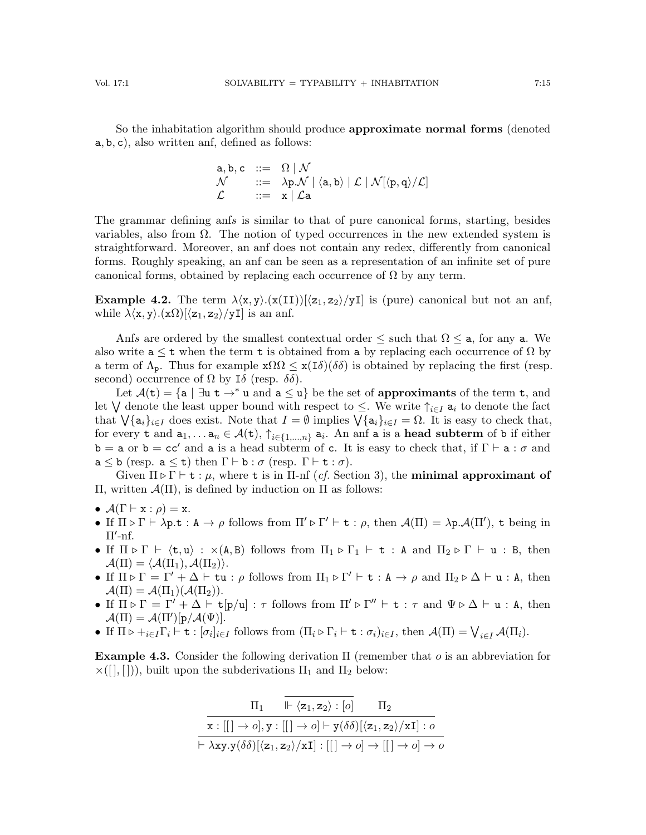So the inhabitation algorithm should produce approximate normal forms (denoted a, b, c), also written anf, defined as follows:

$$
\begin{array}{lll} \texttt{a},\texttt{b},\texttt{c} &::=\;\; \Omega \mid \mathcal{N} \\ \mathcal{N} &::=\;\; \lambda \texttt{p}.\mathcal{N} \mid \langle \texttt{a},\texttt{b} \rangle \mid \mathcal{L} \mid \mathcal{N}[\langle \texttt{p},\texttt{q} \rangle/\mathcal{L}] \\ \mathcal{L} &::=\;\; \texttt{x} \mid \mathcal{L}\texttt{a} \end{array}
$$

The grammar defining anfs is similar to that of pure canonical forms, starting, besides variables, also from  $\Omega$ . The notion of typed occurrences in the new extended system is straightforward. Moreover, an anf does not contain any redex, differently from canonical forms. Roughly speaking, an anf can be seen as a representation of an infinite set of pure canonical forms, obtained by replacing each occurrence of  $\Omega$  by any term.

**Example 4.2.** The term  $\lambda\langle x, y\rangle \cdot (x(II))[\langle z_1, z_2\rangle / yI]$  is (pure) canonical but not an anf, while  $\lambda \langle x, y \rangle . (x\Omega) [\langle z_1, z_2 \rangle / yI]$  is an anf.

Anfs are ordered by the smallest contextual order  $\leq$  such that  $\Omega \leq a$ , for any a. We also write  $a \leq t$  when the term t is obtained from a by replacing each occurrence of  $\Omega$  by a term of  $\Lambda_p$ . Thus for example  $\mathbf{x}\Omega \leq \mathbf{x}(\mathbf{I}\delta)(\delta\delta)$  is obtained by replacing the first (resp. second) occurrence of  $\Omega$  by I $\delta$  (resp.  $\delta\delta$ ).

Let  $\mathcal{A}(t) = \{a \mid \exists u \ t \rightarrow^* u \text{ and } a \leq u\}$  be the set of approximants of the term t, and let  $\bigvee$  denote the least upper bound with respect to  $\leq$ . We write  $\uparrow_{i\in I}$  a<sub>i</sub> to denote the fact that  $\bigvee \{a_i\}_{i\in I}$  does exist. Note that  $I = \emptyset$  implies  $\bigvee \{a_i\}_{i\in I} = \Omega$ . It is easy to check that, for every t and  $a_1, \ldots a_n \in \mathcal{A}(\texttt{t}), \uparrow_{i \in \{1, \ldots, n\}} a_i$ . An anf a is a head subterm of b if either  $b = a$  or  $b = cc'$  and a is a head subterm of c. It is easy to check that, if  $\Gamma \vdash a : \sigma$  and  $a \leq b$  (resp.  $a \leq t$ ) then  $\Gamma \vdash b : \sigma$  (resp.  $\Gamma \vdash t : \sigma$ ).

Given  $\Pi \triangleright \Gamma \vdash t : \mu$ , where t is in  $\Pi$ -nf (*cf.* Section [3\)](#page-8-0), the **minimal approximant of** Π, written A(Π), is defined by induction on Π as follows:

- $\mathcal{A}(\Gamma \vdash x : \rho) = x.$
- If  $\Pi \triangleright \Gamma \vdash \lambda p.t : A \to \rho$  follows from  $\Pi' \triangleright \Gamma' \vdash t : \rho$ , then  $\mathcal{A}(\Pi) = \lambda p \cdot \mathcal{A}(\Pi')$ , t being in  $\Pi'$ -nf.
- If  $\Pi \triangleright \Gamma \vdash \langle t, u \rangle : \times (A, B)$  follows from  $\Pi_1 \triangleright \Gamma_1 \vdash t : A$  and  $\Pi_2 \triangleright \Gamma \vdash u : B$ , then  $\mathcal{A}(\Pi) = \langle \mathcal{A}(\Pi_1), \mathcal{A}(\Pi_2) \rangle.$
- If  $\Pi \triangleright \Gamma = \Gamma' + \Delta \vdash \mathtt{t} \mathtt{u} : \rho$  follows from  $\Pi_1 \triangleright \Gamma' \vdash \mathtt{t} : \mathtt{A} \to \rho$  and  $\Pi_2 \triangleright \Delta \vdash \mathtt{u} : \mathtt{A}$ , then  $\mathcal{A}(\Pi) = \mathcal{A}(\Pi_1)(\mathcal{A}(\Pi_2)).$
- If  $\Pi \triangleright \Gamma = \Gamma' + \Delta \vdash t[p/u] : \tau$  follows from  $\Pi' \triangleright \Gamma'' \vdash t : \tau$  and  $\Psi \triangleright \Delta \vdash u : A$ , then  $\mathcal{A}(\Pi) = \mathcal{A}(\Pi')[p/\mathcal{A}(\Psi)].$
- If  $\Pi \triangleright +_{i \in I} \Gamma_i \vdash t : [\sigma_i]_{i \in I}$  follows from  $(\Pi_i \triangleright \Gamma_i \vdash t : \sigma_i)_{i \in I}$ , then  $\mathcal{A}(\Pi) = \bigvee_{i \in I} \mathcal{A}(\Pi_i)$ .

**Example 4.3.** Consider the following derivation  $\Pi$  (remember that o is an abbreviation for  $\times([], [])$ , built upon the subderivations  $\Pi_1$  and  $\Pi_2$  below:

$$
\frac{\Pi_1 \quad \Vdash \langle z_1, z_2 \rangle : [o] \quad \Pi_2}{x : [[] \rightarrow o], y : [[] \rightarrow o] \vdash y(\delta \delta)[\langle z_1, z_2 \rangle / xI] : o}
$$

$$
\vdash \lambda xy.y(\delta \delta)[\langle z_1, z_2 \rangle / xI] : [[] \rightarrow o] \rightarrow [[] \rightarrow o] \rightarrow o
$$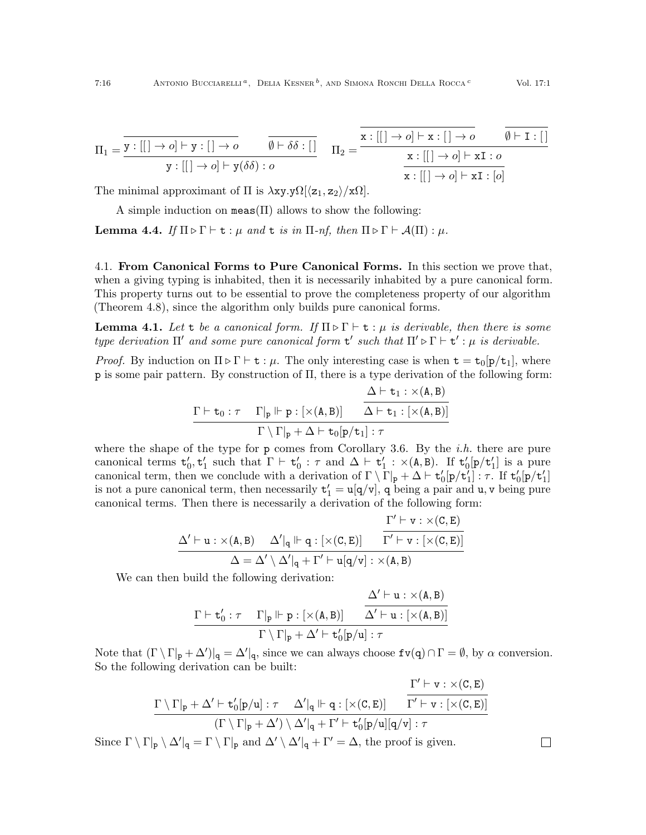$$
\Pi_1 = \frac{\overline{\mathbf{y}:[[]\rightarrow o]\vdash \mathbf{y}:[] \rightarrow o}}{\mathbf{y}:[[]\rightarrow o]\vdash \mathbf{y}(\delta\delta): o} \qquad \frac{\overline{\emptyset \vdash \delta\delta:[]} }{\Pi_2 = \frac{\mathbf{x}:[[]\rightarrow o]\vdash \mathbf{x}:[]\rightarrow o}{\mathbf{x}:[[]\rightarrow o]\vdash \mathbf{xI}: o}}{\mathbf{x}:[[]\rightarrow o]\vdash \mathbf{xI}: [o]}
$$

The minimal approximant of  $\Pi$  is  $\lambda$ xy.y $\Omega[\langle z_1, z_2 \rangle / \langle \Omega |]$ .

A simple induction on meas( $\Pi$ ) allows to show the following:

<span id="page-15-1"></span>**Lemma 4.4.** If  $\Pi \triangleright \Gamma \vdash t : \mu$  and t is in  $\Pi$ -nf, then  $\Pi \triangleright \Gamma \vdash \mathcal{A}(\Pi) : \mu$ .

<span id="page-15-0"></span>4.1. From Canonical Forms to Pure Canonical Forms. In this section we prove that, when a giving typing is inhabited, then it is necessarily inhabited by a pure canonical form. This property turns out to be essential to prove the completeness property of our algorithm (Theorem [4.8\)](#page-17-0), since the algorithm only builds pure canonical forms.

**Lemma 4.1.** Let t be a canonical form. If  $\Pi \triangleright \Gamma \vdash t : \mu$  is derivable, then there is some type derivation  $\Pi'$  and some pure canonical form  $t'$  such that  $\Pi' \triangleright \Gamma \vdash t' : \mu$  is derivable.

*Proof.* By induction on  $\Pi \triangleright \Gamma \vdash t : \mu$ . The only interesting case is when  $t = t_0[p/t_1]$ , where p is some pair pattern. By construction of Π, there is a type derivation of the following form:

$$
\dfrac{\dfrac{\Delta\vdash t_1:\times(A,B)}{\Delta\vdash t_1:\times(A,B)}}{\Gamma\setminus\Gamma|_p+\Delta\vdash t_0[p/t_1]:\tau}
$$

where the shape of the type for  $p$  comes from Corollary [3.6.](#page-11-0) By the *i.h.* there are pure canonical terms  $t'_0, t'_1$  such that  $\Gamma \vdash t'_0 : \tau$  and  $\Delta \vdash t'_1 : \times (A, B)$ . If  $t'_0[p/t'_1]$  is a pure canonical term, then we conclude with a derivation of  $\Gamma \setminus \Gamma_{\mathbf{p}} + \Delta \vdash \mathbf{t}'_0[\mathbf{p}/\mathbf{t}'_1] : \tau$ . If  $\mathbf{t}'_0[\mathbf{p}/\mathbf{t}'_1]$ is not a pure canonical term, then necessarily  $t'_1 = u[q/v]$ , q being a pair and u, v being pure canonical terms. Then there is necessarily a derivation of the following form:

$$
\dfrac{\Delta' \vdash u : \times (A,B) \quad \Delta'|_q \Vdash q : [\times (C,E)] \quad \dfrac{\Gamma' \vdash v : \times (C,E)}{\Gamma' \vdash v : [\times (C,E)]}}{\Delta = \Delta' \setminus \Delta'|_q + \Gamma' \vdash u[q/v] : \times (A,B)}
$$

We can then build the following derivation:

$$
\dfrac{\Delta'\vdash u:\times(A,B)}{\Gamma\vdash t_0':\tau\quad\Gamma|_p\Vdash p:[\times(A,B)]\qquad\overline{\Delta'\vdash u:[\times(A,B)]}}{\Gamma\setminus\Gamma|_p+\Delta'\vdash t_0'[p/u]:\tau}
$$

Note that  $(\Gamma \setminus \Gamma |_{p} + \Delta')|_{q} = \Delta' |_{q}$ , since we can always choose  $f \nu(q) \cap \Gamma = \emptyset$ , by  $\alpha$  conversion. So the following derivation can be built:

$$
\frac{\Gamma'\vdash v:\times(\mathtt{C},\mathtt{E})}{\Gamma\setminus\Gamma|_p+\Delta'\vdash\mathtt{t}'_0[p/u]:\tau\quad\Delta'|_q\Vdash q:[\times(\mathtt{C},\mathtt{E})]\quad\frac{\Gamma'\vdash v:\times(\mathtt{C},\mathtt{E})}{\Gamma'\vdash v:[\times(\mathtt{C},\mathtt{E})]}}{\left(\Gamma\setminus\Gamma|_p+\Delta'\right)\setminus\Delta'|_q+\Gamma'\vdash\mathtt{t}'_0[p/u][q/v]:\tau}
$$

 $\Box$ 

Since  $\Gamma \setminus \Gamma|_p \setminus \Delta'|_q = \Gamma \setminus \Gamma|_p$  and  $\Delta' \setminus \Delta'|_q + \Gamma' = \Delta$ , the proof is given.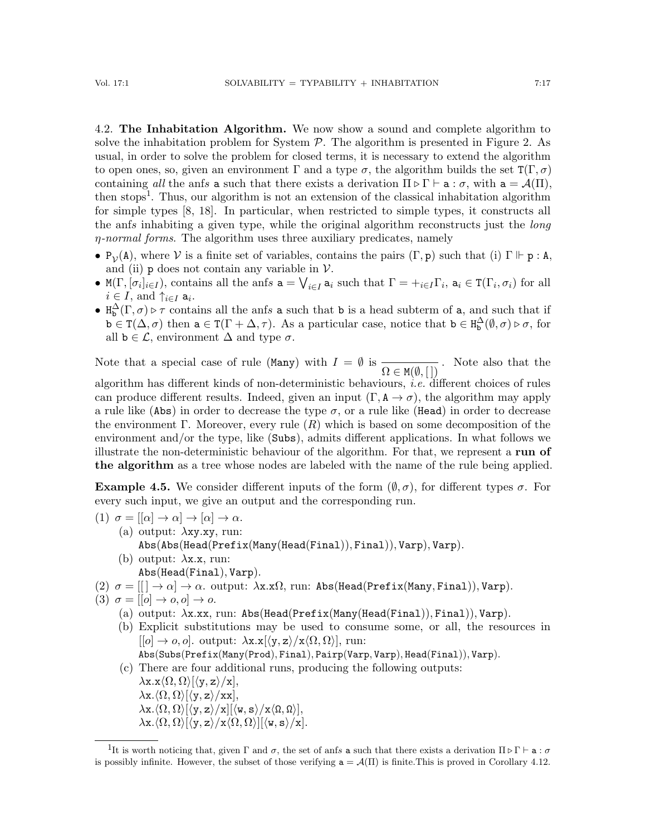4.2. The Inhabitation Algorithm. We now show a sound and complete algorithm to solve the inhabitation problem for System  $P$ . The algorithm is presented in Figure [2.](#page-17-1) As usual, in order to solve the problem for closed terms, it is necessary to extend the algorithm to open ones, so, given an environment  $\Gamma$  and a type  $\sigma$ , the algorithm builds the set  $T(\Gamma,\sigma)$ containing all the anfs a such that there exists a derivation  $\Pi \triangleright \Gamma \vdash a : \sigma$ , with  $a = \mathcal{A}(\Pi)$ , then stops<sup>[1](#page-16-0)</sup>. Thus, our algorithm is not an extension of the classical inhabitation algorithm for simple types [\[8,](#page-26-19) [18\]](#page-26-20). In particular, when restricted to simple types, it constructs all the anfs inhabiting a given type, while the original algorithm reconstructs just the long  $\eta$ -normal forms. The algorithm uses three auxiliary predicates, namely

- $P_{\mathcal{V}}(A)$ , where  $\mathcal{V}$  is a finite set of variables, contains the pairs  $(\Gamma, p)$  such that (i)  $\Gamma \Vdash p : A$ , and (ii)  $p$  does not contain any variable in  $V$ .
- M( $\Gamma$ ,  $[\sigma_i]_{i\in I}$ ), contains all the anfs  $\mathbf{a} = \bigvee_{i\in I} \mathbf{a}_i$  such that  $\Gamma = +_{i\in I} \Gamma_i$ ,  $\mathbf{a}_i \in \mathcal{T}(\Gamma_i, \sigma_i)$  for all  $i \in I$ , and  $\uparrow_{i \in I}$  a<sub>i</sub>.
- $H_b^{\Delta}(\Gamma, \sigma) \triangleright \tau$  contains all the anfs a such that b is a head subterm of a, and such that if  $\mathbf{b} \in \mathcal{T}(\Delta, \sigma)$  then  $\mathbf{a} \in \mathcal{T}(\Gamma + \Delta, \tau)$ . As a particular case, notice that  $\mathbf{b} \in \mathcal{H}^{\Delta}(\emptyset, \sigma) \triangleright \sigma$ , for all  $b \in \mathcal{L}$ , environment  $\Delta$  and type  $\sigma$ .

Note that a special case of rule (Many) with  $I = \emptyset$  is  $\Omega \in \mathtt{M}(\emptyset, [$   $])$ . Note also that the algorithm has different kinds of non-deterministic behaviours, i.e. different choices of rules can produce different results. Indeed, given an input  $(\Gamma, \mathbf{A} \to \sigma)$ , the algorithm may apply a rule like (Abs) in order to decrease the type  $\sigma$ , or a rule like (Head) in order to decrease the environment Γ. Moreover, every rule  $(R)$  which is based on some decomposition of the environment and/or the type, like (Subs), admits different applications. In what follows we illustrate the non-deterministic behaviour of the algorithm. For that, we represent a run of the algorithm as a tree whose nodes are labeled with the name of the rule being applied.

**Example 4.5.** We consider different inputs of the form  $(\emptyset, \sigma)$ , for different types  $\sigma$ . For every such input, we give an output and the corresponding run.

- (1)  $\sigma = [[\alpha] \rightarrow \alpha] \rightarrow [\alpha] \rightarrow \alpha$ . (a) output:  $\lambda xy. xy$ , run: Abs(Abs(Head(Prefix(Many(Head(Final)), Final)), Varp), Varp).
	- (b) output:  $\lambda x.x$ , run: Abs(Head(Final), Varp).
- (2)  $\sigma = [[] \rightarrow \alpha] \rightarrow \alpha$ . output:  $\lambda$ x.x $\Omega$ , run: Abs(Head(Prefix(Many, Final)), Varp).

$$
(3) \sigma = [[o] \to o, o] \to o.
$$

- (a) output:  $\lambda$ x.xx, run: Abs(Head(Prefix(Many(Head(Final)), Final)), Varp).
- (b) Explicit substitutions may be used to consume some, or all, the resources in  $[0] \rightarrow 0, 0]$ . output:  $\lambda x.x[\langle y, z \rangle / x \langle \Omega, \Omega \rangle]$ , run:

```
Abs(Subs(Prefix(Many(Prod), Final), Pairp(Varp, Varp), Head(Final)), Varp).
```
(c) There are four additional runs, producing the following outputs:

 $\lambda$ x.x $\langle \Omega, \Omega \rangle [\langle y, z \rangle /x],$  $\lambda$ x. $\langle \Omega, \Omega \rangle$ [ $\langle y, z \rangle /$ xx],  $\lambda \mathbf{x}. \langle \Omega, \Omega \rangle [\langle \mathbf{y}, \mathbf{z} \rangle/\mathbf{x}][\langle \mathbf{w}, \mathbf{s} \rangle/\mathbf{x} \langle \Omega, \Omega \rangle],$  $\lambda$ x. $\langle \Omega, \Omega \rangle$ [ $\langle y, z \rangle /x \langle \Omega, \Omega \rangle$ ][ $\langle \mathbf{w}, \mathbf{s} \rangle /x$ ].

<span id="page-16-0"></span><sup>&</sup>lt;sup>1</sup>It is worth noticing that, given  $\Gamma$  and  $\sigma$ , the set of anfs **a** such that there exists a derivation  $\Pi \triangleright \Gamma \vdash a : \sigma$ is possibly infinite. However, the subset of those verifying  $a = \mathcal{A}(\Pi)$  is finite. This is proved in Corollary [4.12.](#page-20-0)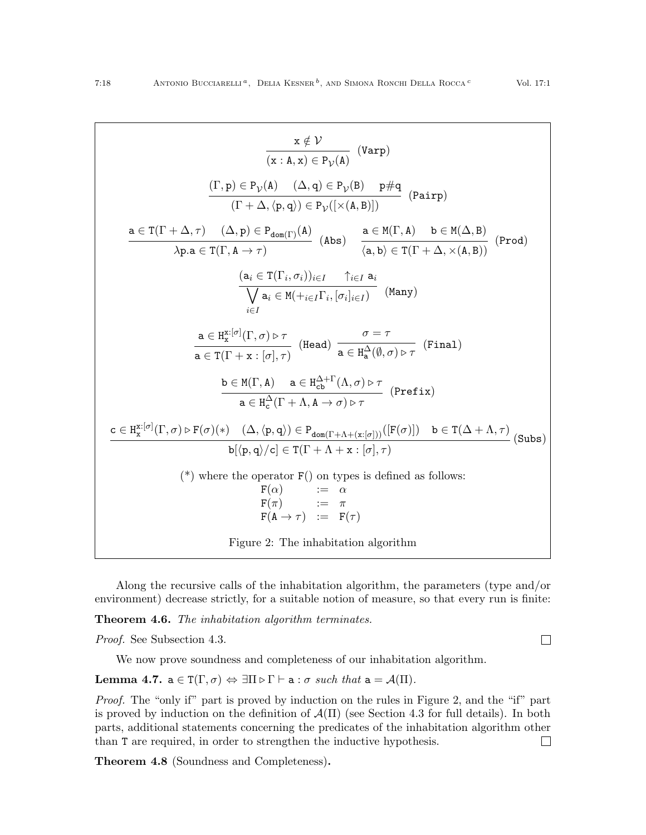$$
\frac{x \notin V}{(x : A, x) \in P_V(A)} \quad (\text{Varp})
$$
\n
$$
\frac{(\Gamma, p) \in P_V(A) \quad (\Delta, q) \in P_V(B) \quad p \# q}{(\Gamma + \Delta, \langle p, q \rangle) \in P_V[(x(A, B)])} \quad (\text{Pairp})
$$
\n
$$
\frac{a \in T(\Gamma + \Delta, \tau) \quad (\Delta, p) \in P_{\text{dom}(\Gamma)}(A)}{\lambda p.a \in T(\Gamma, A \to \tau)} \quad (\text{Abs}) \quad \frac{a \in M(\Gamma, A) \quad b \in M(\Delta, B)}{\langle a, b \rangle \in T(\Gamma + \Delta, \times(A, B))} \quad (\text{Prod})
$$
\n
$$
\frac{(a_i \in T(\Gamma_i, \sigma_i))_{i \in I} \quad \uparrow_{i \in I} a_i}{\sqrt{a_i \in M(\div_{i \in I} \Gamma_i, [\sigma_i]_{i \in I})}} \quad (\text{Many})
$$
\n
$$
\frac{a \in H_x^{\chi[\sigma]}(\Gamma, \sigma) \triangleright \tau}{a \in T(\Gamma + x : [\sigma], \tau)} \quad (\text{Head}) \quad \frac{\sigma = \tau}{a \in H_a^{\Delta}(\emptyset, \sigma) \triangleright \tau} \quad (\text{Final})
$$
\n
$$
\frac{b \in M(\Gamma, A) \quad a \in H_{\text{ch}}^{\Delta + \Gamma}(\Lambda, \sigma) \triangleright \tau}{a \in H_{\text{ch}}^{\Delta}(\Gamma + \Lambda, A \to \sigma) \triangleright \tau} \quad (\text{Prefix})
$$
\n
$$
\frac{c \in H_x^{\chi[\sigma]}(\Gamma, \sigma) \triangleright F(\sigma)(*) \quad (\Delta, \langle p, q \rangle) \in P_{\text{dom}(\Gamma + \Lambda + (x : [\sigma]), \tau)} \quad (\text{Frefix})}{b[(p, q) / c] \in T(\Gamma + \Lambda + x : [\sigma], \tau)}
$$
\n
$$
(\text{*}) \text{ where the operator } F() \text{ on types is defined as follows: } F(\alpha) \qquad := \alpha \qquad F(\pi) \qquad := \pi \qquad F(\pi) \qquad \text{Figure 2: The inhibition algorithm}
$$

<span id="page-17-1"></span>Along the recursive calls of the inhabitation algorithm, the parameters (type and/or environment) decrease strictly, for a suitable notion of measure, so that every run is finite:

Theorem 4.6. The inhabitation algorithm terminates.

Proof. See Subsection [4.3.](#page-18-0)

We now prove soundness and completeness of our inhabitation algorithm.

<span id="page-17-2"></span>Lemma 4.7.  $a \in T(\Gamma, \sigma) \Leftrightarrow \exists \Pi \triangleright \Gamma \vdash a : \sigma \text{ such that } a = \mathcal{A}(\Pi).$ 

Proof. The "only if" part is proved by induction on the rules in Figure [2,](#page-17-1) and the "if" part is proved by induction on the definition of  $\mathcal{A}(\Pi)$  (see Section [4.3](#page-18-0) for full details). In both parts, additional statements concerning the predicates of the inhabitation algorithm other than T are required, in order to strengthen the inductive hypothesis.  $\Box$ 

<span id="page-17-0"></span>Theorem 4.8 (Soundness and Completeness).

 $\Box$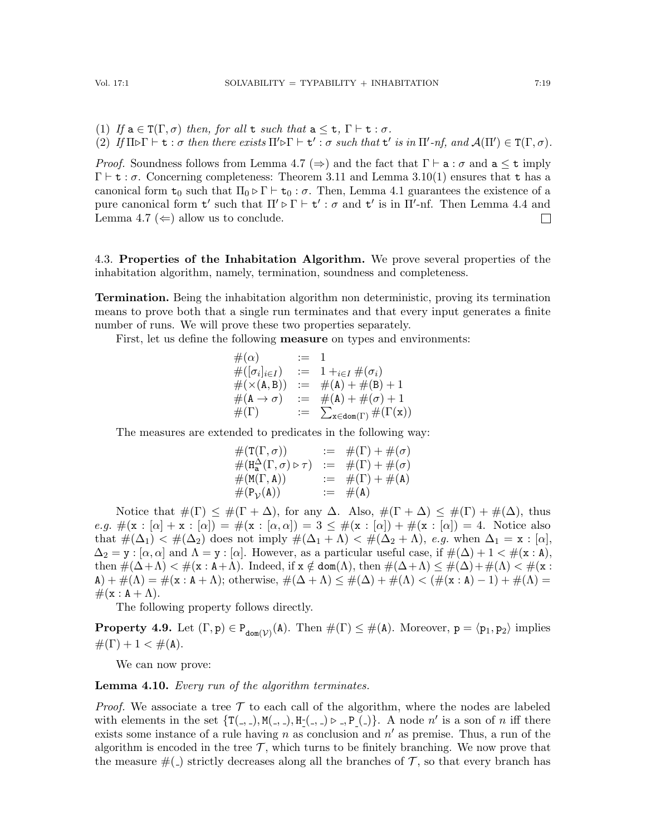(1) If  $a \in T(\Gamma, \sigma)$  then, for all t such that  $a \leq t$ ,  $\Gamma \vdash t : \sigma$ .

(2) If  $\Pi \triangleright \Gamma \vdash t : \sigma$  then there exists  $\Pi' \triangleright \Gamma \vdash t' : \sigma$  such that  $t'$  is in  $\Pi'$ -nf, and  $\mathcal{A}(\Pi') \in \mathcal{T}(\Gamma, \sigma)$ .

*Proof.* Soundness follows from Lemma [4.7](#page-17-2) ( $\Rightarrow$ ) and the fact that  $\Gamma \vdash a : \sigma$  and  $a \leq t$  imply  $\Gamma \vdash t : \sigma$ . Concerning completeness: Theorem [3.11](#page-12-0) and Lemma [3.10\(](#page-12-1)[1\)](#page-12-2) ensures that t has a canonical form  $t_0$  such that  $\Pi_0 \triangleright \Gamma \vdash t_0 : \sigma$ . Then, Lemma [4.1](#page-13-1) guarantees the existence of a pure canonical form  $t'$  such that  $\Pi' \triangleright \Gamma \vdash t' : \sigma$  and  $t'$  is in  $\Pi'$ -nf. Then Lemma [4.4](#page-15-1) and Lemma [4.7](#page-17-2) ( $\Leftarrow$ ) allow us to conclude.  $\Box$ 

<span id="page-18-0"></span>4.3. Properties of the Inhabitation Algorithm. We prove several properties of the inhabitation algorithm, namely, termination, soundness and completeness.

Termination. Being the inhabitation algorithm non deterministic, proving its termination means to prove both that a single run terminates and that every input generates a finite number of runs. We will prove these two properties separately.

First, let us define the following **measure** on types and environments:

$$
\begin{array}{rcl}\n\#(\alpha) & := & 1 \\
\#([\sigma_i]_{i \in I}) & := & 1 +_{i \in I} \#(\sigma_i) \\
\#(\times(\mathbf{A}, \mathbf{B})) & := & \#(\mathbf{A}) + \#(\mathbf{B}) + 1 \\
\#(\mathbf{A} \to \sigma) & := & \#(\mathbf{A}) + \#(\sigma) + 1 \\
\#(\Gamma) & := & \sum_{\mathbf{x} \in \text{dom}(\Gamma)} \#(\Gamma(\mathbf{x}))\n\end{array}
$$

The measures are extended to predicates in the following way:

$$
\begin{array}{rcl}\n\#(\mathbf{T}(\Gamma,\sigma)) & := & \#(\Gamma) + \#(\sigma) \\
\#(\mathbf{H}_{\mathbf{a}}^{\Delta}(\Gamma,\sigma) \triangleright \tau) & := & \#(\Gamma) + \#(\sigma) \\
\#(\mathsf{M}(\Gamma,\mathbf{A})) & := & \#(\Gamma) + \#(\mathbf{A}) \\
\#(\mathsf{P}_{\mathcal{V}}(\mathbf{A})) & := & \#(\mathbf{A})\n\end{array}
$$

Notice that  $\#(\Gamma) \leq \#(\Gamma + \Delta)$ , for any  $\Delta$ . Also,  $\#(\Gamma + \Delta) \leq \#(\Gamma) + \#(\Delta)$ , thus e.g.  $\#(\mathbf{x} : [\alpha] + \mathbf{x} : [\alpha]) = \#(\mathbf{x} : [\alpha, \alpha]) = 3 \leq \#(\mathbf{x} : [\alpha]) + \#(\mathbf{x} : [\alpha]) = 4$ . Notice also that  $\#(\Delta_1) < \#(\Delta_2)$  does not imply  $\#(\Delta_1 + \Lambda) < \#(\Delta_2 + \Lambda)$ , e.g. when  $\Delta_1 = x : [\alpha]$ ,  $\Delta_2 = \mathbf{y} : [\alpha, \alpha]$  and  $\Lambda = \mathbf{y} : [\alpha]$ . However, as a particular useful case, if  $\#(\Delta) + 1 < \#(\mathbf{x} : \mathbf{A})$ , then  $\#(\Delta + \Lambda) < \#(\mathbf{x} : \mathbf{A} + \Lambda)$ . Indeed, if  $\mathbf{x} \notin \text{dom}(\Lambda)$ , then  $\#(\Delta + \Lambda) \leq \#(\Delta) + \#(\Lambda) < \#(\mathbf{x} : \mathbf{A} + \Lambda)$ . A) +  $\#(\Lambda) = \#(\mathbf{x} : \mathbf{A} + \Lambda)$ ; otherwise,  $\#(\Delta + \Lambda) \leq \#(\Delta) + \#(\Lambda) < (\#(\mathbf{x} : \mathbf{A}) - 1) + \#(\Lambda) =$  $\#(\mathbf{x} : \mathbf{A} + \Lambda).$ 

The following property follows directly.

<span id="page-18-1"></span>**Property 4.9.** Let  $(\Gamma, \mathbf{p}) \in P_{\text{dom}(\mathcal{V})}(\mathbf{A})$ . Then  $\#(\Gamma) \leq \#(\mathbf{A})$ . Moreover,  $\mathbf{p} = \langle \mathbf{p}_1, \mathbf{p}_2 \rangle$  implies  $#(\Gamma) + 1 < #(A).$ 

We can now prove:

<span id="page-18-2"></span>**Lemma 4.10.** Every run of the algorithm terminates.

*Proof.* We associate a tree  $\mathcal T$  to each call of the algorithm, where the nodes are labeled with elements in the set  $\{T(., .), M(., .), H(., .), P(., .)\}\$ . A node n' is a son of n iff there exists some instance of a rule having n as conclusion and  $n'$  as premise. Thus, a run of the algorithm is encoded in the tree  $\mathcal{T}$ , which turns to be finitely branching. We now prove that the measure  $#(.)$  strictly decreases along all the branches of  $\mathcal T$ , so that every branch has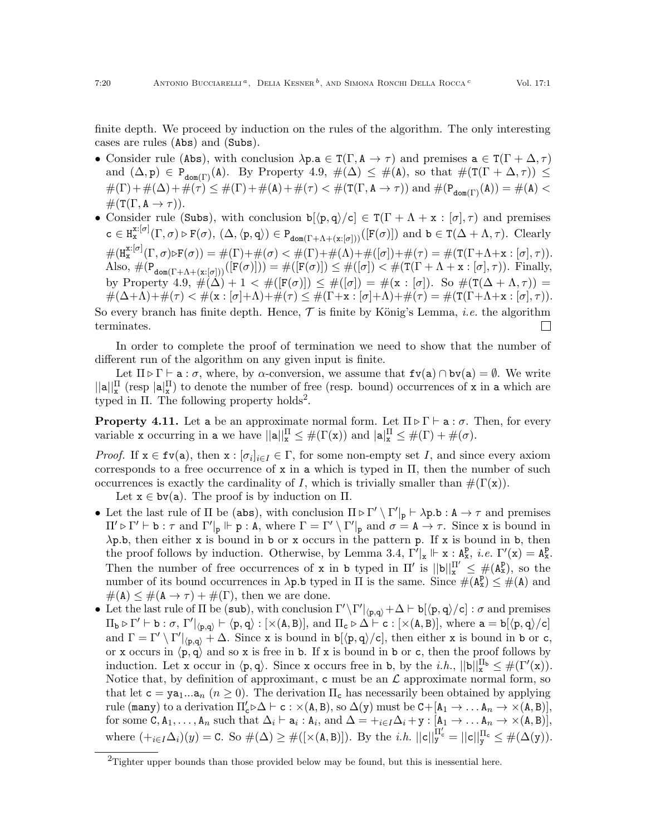finite depth. We proceed by induction on the rules of the algorithm. The only interesting cases are rules (Abs) and (Subs).

- Consider rule (Abs), with conclusion  $\lambda p.a \in T(\Gamma, A \to \tau)$  and premises  $a \in T(\Gamma + \Delta, \tau)$ and  $(\Delta, p) \in P_{\text{dom}(\Gamma)}(\mathbf{A})$ . By Property [4.9,](#page-18-1)  $\#(\Delta) \leq \#(\mathbf{A})$ , so that  $\#(\mathsf{T}(\Gamma + \Delta, \tau)) \leq$  $\#(\Gamma)+\#(\Delta)+\#(\tau) \leq \#(\Gamma)+\#(\mathbf{A})+\#(\tau) < \#(\mathbf{T}(\Gamma,\mathbf{A}\to\tau))$  and  $\#(\mathbf{P}_{\text{dom}(\Gamma)}(\mathbf{A})) = \#(\mathbf{A})$  $\#(T(\Gamma, A \to \tau)).$
- Consider rule (Subs), with conclusion  $b[\langle p, q \rangle/c] \in T(\Gamma + \Lambda + x : [\sigma], \tau)$  and premises  $c \in H_{\mathbf{x}}^{\mathbf{x}: [\sigma]}(\Gamma, \sigma) \triangleright F(\sigma), \ (\Delta, \langle \mathbf{p}, \mathbf{q} \rangle) \in P_{\text{dom}(\Gamma + \Lambda + (\mathbf{x}: [\sigma]))}([\mathbf{F}(\sigma)])$  and  $\mathbf{b} \in \mathbf{T}(\Delta + \Lambda, \tau)$ . Clearly  $\#(H^{\mathrm{x}: [\sigma]}_{{\mathrm{x}}}(\Gamma,\sigma) \triangleright F(\sigma)) = \#(\Gamma) + \#(\sigma) < \#(\Gamma) + \#(\Lambda) + \#([\sigma]) + \#(\tau) = \#(\mathrm{T}(\Gamma + \Lambda + \mathrm{x}: [\sigma], \tau)).$ Also,  $\#(\mathsf{P}_{\mathtt{dom}(\Gamma+\Lambda+(\mathbf{x}:[\sigma]))}([\mathsf{F}(\sigma)]) = \#([\mathsf{F}(\sigma)]) \leq \#([\sigma]) < \#(\mathtt{T}(\Gamma+\Lambda+\mathbf{x}:[\sigma],\tau)).$  Finally, by Property  $4.9, \#(\Delta)+1 < \#([F(\sigma)]) \leq \#([\sigma]) = \#(x : [\sigma]).$  So  $\#(T(\Delta+\Lambda,\tau)) =$  $\#(\Delta+\Lambda)+\#(\tau) < \#(\mathbf{x} : [\sigma]+\Lambda)+\#(\tau) \leq \#(\Gamma+\mathbf{x} : [\sigma]+\Lambda)+\#(\tau) = \#(\mathbf{T}(\Gamma+\Lambda+\mathbf{x} : [\sigma], \tau)).$

So every branch has finite depth. Hence,  $\mathcal T$  is finite by König's Lemma, *i.e.* the algorithm terminates.  $\mathbf{L}$ 

In order to complete the proof of termination we need to show that the number of different run of the algorithm on any given input is finite.

Let  $\Pi \triangleright \Gamma \vdash a : \sigma$ , where, by  $\alpha$ -conversion, we assume that  $f \nu(a) \cap b \nu(a) = \emptyset$ . We write  $\|\mathbf{a}\|_{\mathbf{x}}^{\Pi}$  (resp  $|\mathbf{a}|_{\mathbf{x}}^{\Pi}$ ) to denote the number of free (resp. bound) occurrences of x in a which are typed in  $\Pi$ . The following property holds<sup>[2](#page-19-0)</sup>.

<span id="page-19-1"></span>**Property 4.11.** Let a be an approximate normal form. Let  $\Pi \triangleright \Gamma \vdash a : \sigma$ . Then, for every variable x occurring in a we have  $||\mathbf{a}||_{\mathbf{x}}^{\Pi} \leq #(\Gamma(\mathbf{x}))$  and  $|\mathbf{a}|_{\mathbf{x}}^{\Pi} \leq #(\Gamma) + #(\sigma)$ .

*Proof.* If  $x \in \text{fv}(a)$ , then  $x : [\sigma_i]_{i \in I} \in \Gamma$ , for some non-empty set I, and since every axiom corresponds to a free occurrence of x in a which is typed in  $\Pi$ , then the number of such occurrences is exactly the cardinality of I, which is trivially smaller than  $\#(\Gamma(x))$ .

Let  $x \in bv(a)$ . The proof is by induction on  $\Pi$ .

- Let the last rule of  $\Pi$  be (abs), with conclusion  $\Pi \triangleright \Gamma' \setminus \Gamma' \vert_p \vdash \lambda p.b : A \to \tau$  and premises  $\Pi' \triangleright \Gamma' \vdash b : \tau \text{ and } \Gamma'|_{p} \Vdash p : A, \text{ where } \Gamma = \Gamma' \setminus \Gamma'|_{p} \text{ and } \sigma = A \rightarrow \tau. \text{ Since } x \text{ is bound in }$ λp.b, then either x is bound in b or x occurs in the pattern p. If x is bound in b, then the proof follows by induction. Otherwise, by Lemma [3.4,](#page-10-0)  $\Gamma^{\prime}|_{x} \Vdash x : A_{x}^{p}$ , *i.e.*  $\Gamma'(x) = A_{x}^{p}$ . Then the number of free occurrences of x in b typed in  $\Pi'$  is  $||b||_x^{\Pi'} \leq \#(A_x^p)$ , so the number of its bound occurrences in  $\lambda p.b$  typed in  $\Pi$  is the same. Since  $\#(A_x^p) \leq \#(A)$  and  $\#(\mathtt{A}) \leq \#(\mathtt{A} \to \tau) + \#(\Gamma)$ , then we are done.
- Let the last rule of  $\Pi$  be (sub), with conclusion  $\Gamma' \backslash \Gamma' |_{\langle p,q \rangle} + \Delta \vdash b[\langle p,q \rangle/c] : \sigma$  and premises  $\Pi_{\mathbf{b}} \triangleright \Gamma' \vdash \mathbf{b} : \sigma, \Gamma' |_{\langle \mathbf{p},\mathbf{q} \rangle} \vdash \langle \mathbf{p},\mathbf{q} \rangle : [\times(\mathbf{A},\mathbf{B})],$  and  $\Pi_{\mathbf{c}} \triangleright \Delta \vdash \mathbf{c} : [\times(\mathbf{A},\mathbf{B})],$  where  $\mathbf{a} = \mathbf{b} [\langle \mathbf{p},\mathbf{q} \rangle/\mathbf{c}]$ and  $\Gamma = \Gamma' \setminus \Gamma' |_{\langle p,q \rangle} + \Delta$ . Since x is bound in b[ $\langle p,q \rangle / c$ ], then either x is bound in b or c, or x occurs in  $\langle p, q \rangle$  and so x is free in b. If x is bound in b or c, then the proof follows by induction. Let x occur in  $\langle p, q \rangle$ . Since x occurs free in b, by the *i.h.*,  $||b||_x^{\Pi_b} \leq #(\Gamma'(x))$ . Notice that, by definition of approximant, c must be an  $\mathcal L$  approximate normal form, so that let  $c = ya_1...a_n$   $(n \ge 0)$ . The derivation  $\Pi_c$  has necessarily been obtained by applying rule (many) to a derivation  $\Pi_c' \triangleright \Delta \vdash c : \times (A, B)$ , so  $\Delta(y)$  must be  $C + [A_1 \rightarrow \ldots A_n \rightarrow \times (A, B)],$ for some  $C, A_1, \ldots, A_n$  such that  $\Delta_i \vdash a_i : A_i$ , and  $\Delta = +_{i \in I} \Delta_i + y : [A_1 \rightarrow \ldots A_n \rightarrow \times (A, B)],$ where  $(+_{i\in I}\Delta_i)(y) = \text{C}$ . So  $\#(\Delta) \geq \#([\times(A,B)])$ . By the *i.h.*  $||c||_y^{\Pi_c'} = ||c||_y^{\Pi_c} \leq \#(\Delta(y))$ .

<span id="page-19-0"></span> $^{2}$ Tighter upper bounds than those provided below may be found, but this is inessential here.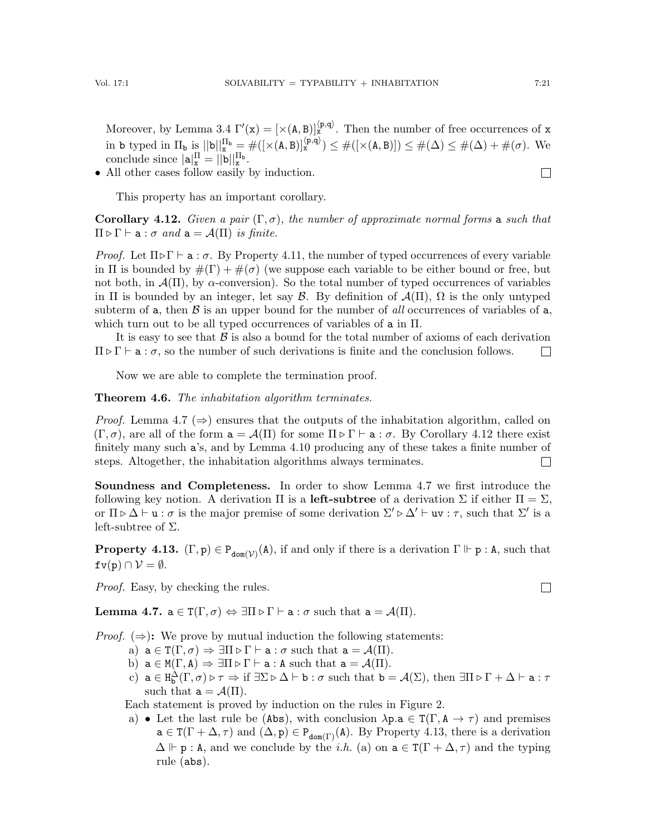Moreover, by Lemma [3.4](#page-10-0)  $\Gamma'(x) = [\times(A, B)]_x^{(p,q)}$ . Then the number of free occurrences of x in b typed in  $\Pi_{\mathbf{b}}$  is  $||\mathbf{b}||_{\mathbf{x}}^{\Pi_{\mathbf{b}}} = \#([ \times (\mathbf{A}, \mathbf{B})] \times \#([\times (\mathbf{A}, \mathbf{B})]) \leq \#(\Delta) \leq \#(\Delta) + \#(\sigma)$ . We conclude since  $|\mathbf{a}|_{\mathbf{x}}^{\Pi} = ||\mathbf{b}||_{\mathbf{x}}^{\Pi_{\mathbf{b}}}$ .  $\Box$ 

• All other cases follow easily by induction.

This property has an important corollary.

<span id="page-20-0"></span>Corollary 4.12. Given a pair  $(\Gamma, \sigma)$ , the number of approximate normal forms a such that  $\Pi \triangleright \Gamma \vdash a : \sigma \text{ and } a = \mathcal{A}(\Pi) \text{ is finite.}$ 

*Proof.* Let  $\Pi \triangleright \Gamma \vdash a : \sigma$ . By Property [4.11,](#page-19-1) the number of typed occurrences of every variable in  $\Pi$  is bounded by  $\#(\Gamma) + \#(\sigma)$  (we suppose each variable to be either bound or free, but not both, in  $\mathcal{A}(\Pi)$ , by  $\alpha$ -conversion). So the total number of typed occurrences of variables in  $\Pi$  is bounded by an integer, let say  $\mathcal{B}$ . By definition of  $\mathcal{A}(\Pi)$ ,  $\Omega$  is the only untyped subterm of a, then  $\beta$  is an upper bound for the number of all occurrences of variables of a, which turn out to be all typed occurrences of variables of  $a$  in  $\Pi$ .

It is easy to see that  $\beta$  is also a bound for the total number of axioms of each derivation  $\Pi \triangleright \Gamma \vdash a : \sigma$ , so the number of such derivations is finite and the conclusion follows.  $\Box$ 

Now we are able to complete the termination proof.

## Theorem 4.6. The inhabitation algorithm terminates.

*Proof.* Lemma [4.7](#page-17-2) ( $\Rightarrow$ ) ensures that the outputs of the inhabitation algorithm, called on  $(\Gamma, \sigma)$ , are all of the form  $a = \mathcal{A}(\Pi)$  for some  $\Pi \triangleright \Gamma \vdash a : \sigma$ . By Corollary [4.12](#page-20-0) there exist finitely many such a's, and by Lemma [4.10](#page-18-2) producing any of these takes a finite number of steps. Altogether, the inhabitation algorithms always terminates.  $\Box$ 

Soundness and Completeness. In order to show Lemma [4.7](#page-17-2) we first introduce the following key notion. A derivation  $\Pi$  is a left-subtree of a derivation  $\Sigma$  if either  $\Pi = \Sigma$ , or  $\Pi \triangleright \Delta \vdash u : \sigma$  is the major premise of some derivation  $\Sigma' \triangleright \Delta' \vdash uv : \tau$ , such that  $\Sigma'$  is a left-subtree of  $\Sigma$ .

<span id="page-20-1"></span>**Property 4.13.**  $(\Gamma, \mathbf{p}) \in P_{\text{dom}(\mathcal{V})}(\mathbf{A})$ , if and only if there is a derivation  $\Gamma \Vdash \mathbf{p} : \mathbf{A}$ , such that  $f(v(p)) \cap V = \emptyset$ .

Proof. Easy, by checking the rules.

**Lemma [4.7.](#page-17-2)**  $a \in T(\Gamma, \sigma) \Leftrightarrow \exists \Pi \triangleright \Gamma \vdash a : \sigma$  such that  $a = \mathcal{A}(\Pi)$ .

*Proof.*  $(\Rightarrow)$ : We prove by mutual induction the following statements:

- a)  $a \in T(\Gamma, \sigma) \Rightarrow \exists \Pi \triangleright \Gamma \vdash a : \sigma$  such that  $a = \mathcal{A}(\Pi)$ .
- b)  $a \in M(\Gamma, A) \Rightarrow \exists \Pi \triangleright \Gamma \vdash a : A \text{ such that } a = \mathcal{A}(\Pi).$
- c)  $a \in H_b^{\Delta}(\Gamma, \sigma) \triangleright \tau \Rightarrow \text{if } \exists \Sigma \triangleright \Delta \vdash b : \sigma \text{ such that } b = \mathcal{A}(\Sigma), \text{ then } \exists \Pi \triangleright \Gamma + \Delta \vdash a : \tau$ such that  $a = \mathcal{A}(\Pi)$ .

Each statement is proved by induction on the rules in Figure [2.](#page-17-1)

a) • Let the last rule be (Abs), with conclusion  $\lambda p.a \in T(\Gamma, A \to \tau)$  and premises  $a \in T(\Gamma + \Delta, \tau)$  and  $(\Delta, p) \in P_{dom(\Gamma)}(A)$ . By Property [4.13,](#page-20-1) there is a derivation  $\Delta \Vdash p : A$ , and we conclude by the *i.h.* (a) on  $a \in T(\Gamma + \Delta, \tau)$  and the typing rule (abs).

 $\Box$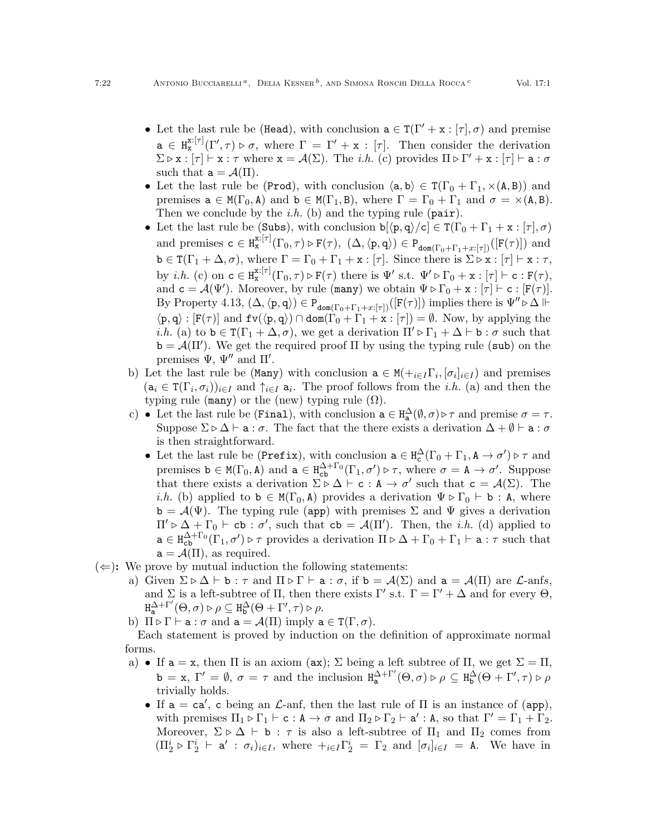- Let the last rule be (Head), with conclusion  $a \in T(\Gamma' + x : [\tau], \sigma)$  and premise  $a \in H_{\mathbf{x}}^{\mathbf{x}: [\tau]}(\Gamma', \tau) \triangleright \sigma$ , where  $\Gamma = \Gamma' + \mathbf{x} : [\tau]$ . Then consider the derivation  $\Sigma \triangleright x : [\tau] \vdash x : \tau$  where  $x = \mathcal{A}(\Sigma)$ . The *i.h.* (c) provides  $\Pi \triangleright \Gamma' + x : [\tau] \vdash a : \sigma$ such that  $a = \mathcal{A}(\Pi)$ .
- Let the last rule be (Prod), with conclusion  $\langle a, b \rangle \in T(\Gamma_0 + \Gamma_1, \times(A, B))$  and premises  $a \in M(\Gamma_0, A)$  and  $b \in M(\Gamma_1, B)$ , where  $\Gamma = \Gamma_0 + \Gamma_1$  and  $\sigma = \times(A, B)$ . Then we conclude by the *i.h.* (b) and the typing rule  $(\text{pair})$ .
- Let the last rule be (Subs), with conclusion  $b[\langle p, q \rangle/c] \in T(\Gamma_0 + \Gamma_1 + x : [\tau], \sigma)$ and premises  $c \in H_x^{x:[\tau]}(\Gamma_0, \tau) \triangleright F(\tau)$ ,  $(\Delta, \langle p, q \rangle) \in P_{\text{dom}(\Gamma_0 + \Gamma_1 + x:[\tau])}([\mathbf{F}(\tau)])$  and  $\mathtt{b} \in \mathtt{T}(\Gamma_1 + \Delta, \sigma)$ , where  $\Gamma = \Gamma_0 + \Gamma_1 + \mathtt{x} : [\tau]$ . Since there is  $\Sigma \triangleright \mathtt{x} : [\tau] \vdash \mathtt{x} : \tau$ , by *i.h.* (c) on  $c \in H_x^{x:[\tau]}(\Gamma_0, \tau) \triangleright F(\tau)$  there is  $\Psi'$  s.t.  $\Psi' \triangleright \Gamma_0 + x : [\tau] \vdash c : F(\tau)$ , and  $\mathbf{c} = \mathcal{A}(\Psi')$ . Moreover, by rule (many) we obtain  $\Psi \triangleright \Gamma_0 + \mathbf{x} : [\tau] \vdash \mathbf{c} : [F(\tau)].$ By Property [4.13,](#page-20-1)  $(\Delta, \langle p, q \rangle) \in P_{\text{dom}(\Gamma_0+\Gamma_1+x:[\tau])}([\mathbf{F}(\tau)])$  implies there is  $\Psi'' \triangleright \Delta \Vdash$  $\langle p, q \rangle : [F(\tau)]$  and  $fv(\langle p, q \rangle) \cap dom(\Gamma_0 + \Gamma_1 + x : [\tau]) = \emptyset$ . Now, by applying the *i.h.* (a) to  $\mathbf{b} \in \mathbf{T}(\Gamma_1 + \Delta, \sigma)$ , we get a derivation  $\Pi' \triangleright \Gamma_1 + \Delta \vdash \mathbf{b} : \sigma$  such that  $\mathbf{b} = \mathcal{A}(\Pi')$ . We get the required proof  $\Pi$  by using the typing rule (sub) on the premises  $\Psi$ ,  $\Psi''$  and  $\Pi'$ .
- b) Let the last rule be (Many) with conclusion  $a \in M(+_{i \in I} \Gamma_i, [\sigma_i]_{i \in I})$  and premises  $(a_i \in T(\Gamma_i, \sigma_i))_{i \in I}$  and  $\uparrow_{i \in I} a_i$ . The proof follows from the *i.h.* (a) and then the typing rule (many) or the (new) typing rule  $(\Omega)$ .
- c) Let the last rule be (Final), with conclusion  $a \in H_a^{\Delta}(\emptyset, \sigma) \triangleright \tau$  and premise  $\sigma = \tau$ . Suppose  $\Sigma \triangleright \Delta \vdash a : \sigma$ . The fact that the there exists a derivation  $\Delta + \emptyset \vdash a : \sigma$ is then straightforward.
	- Let the last rule be (Prefix), with conclusion  $a \in H_c^{\Delta}(\Gamma_0 + \Gamma_1, A \to \sigma') \triangleright \tau$  and premises  $b \in M(\Gamma_0, A)$  and  $a \in H_{cb}^{\Delta+\Gamma_0}(\Gamma_1, \sigma') \triangleright \tau$ , where  $\sigma = A \rightarrow \sigma'$ . Suppose that there exists a derivation  $\Sigma \triangleright \Delta \vdash c : A \rightarrow \sigma'$  such that  $c = A(\Sigma)$ . The *i.h.* (b) applied to  $\mathbf{b} \in M(\Gamma_0, \mathbf{A})$  provides a derivation  $\Psi \triangleright \Gamma_0 \vdash \mathbf{b} : \mathbf{A}$ , where  $\mathbf{b} = \mathcal{A}(\Psi)$ . The typing rule (app) with premises  $\Sigma$  and  $\Psi$  gives a derivation  $\Pi' \triangleright \Delta + \Gamma_0 \vdash cb : \sigma'$ , such that  $cb = \mathcal{A}(\Pi')$ . Then, the *i.h.* (d) applied to  $a \in H_{cb}^{\Delta+\Gamma_0}(\Gamma_1, \sigma') \triangleright \tau$  provides a derivation  $\Pi \triangleright \Delta + \Gamma_0 + \Gamma_1 \vdash a : \tau$  such that  $a = \mathcal{A}(\Pi)$ , as required.
- $(\Leftarrow):$  We prove by mutual induction the following statements:
	- a) Given  $\Sigma \triangleright \Delta \vdash b : \tau$  and  $\Pi \triangleright \Gamma \vdash a : \sigma$ , if  $b = \mathcal{A}(\Sigma)$  and  $a = \mathcal{A}(\Pi)$  are  $\mathcal{L}$ -anfs, and  $\Sigma$  is a left-subtree of  $\Pi$ , then there exists  $\Gamma'$  s.t.  $\Gamma = \Gamma' + \Delta$  and for every  $\Theta$ ,  $H_{\mathbf{a}}^{\Delta+\Gamma'}(\Theta,\sigma) \triangleright \rho \subseteq H_{\mathbf{b}}^{\Delta}(\Theta+\Gamma',\tau) \triangleright \rho.$
	- b)  $\Pi \triangleright \Gamma \vdash a : \sigma$  and  $a = \mathcal{A}(\Pi)$  imply  $a \in \mathcal{T}(\Gamma, \sigma)$ .

Each statement is proved by induction on the definition of approximate normal forms.

- a) If  $a = x$ , then  $\Pi$  is an axiom (ax);  $\Sigma$  being a left subtree of  $\Pi$ , we get  $\Sigma = \Pi$ ,  $\mathbf{b} = \mathbf{x}, \ \Gamma' = \emptyset, \ \sigma = \tau \text{ and the inclusion } \mathbf{H}_{\mathbf{a}}^{\Delta + \Gamma'}(\Theta, \sigma) \triangleright \rho \subseteq \mathbf{H}_{\mathbf{b}}^{\Delta}(\Theta + \Gamma', \tau) \triangleright \rho$ trivially holds.
	- If  $a = ca'$ , c being an *L*-anf, then the last rule of  $\Pi$  is an instance of (app), with premises  $\Pi_1 \triangleright \Gamma_1 \vdash c : A \to \sigma$  and  $\Pi_2 \triangleright \Gamma_2 \vdash a' : A$ , so that  $\Gamma' = \Gamma_1 + \Gamma_2$ . Moreover,  $\Sigma \triangleright \Delta \vdash b : \tau$  is also a left-subtree of  $\Pi_1$  and  $\Pi_2$  comes from  $(\Pi_2^i \triangleright \Gamma_2^i \vdash a' : \sigma_i)_{i \in I}$ , where  $+_{i \in I} \Gamma_2^i = \Gamma_2$  and  $[\sigma_i]_{i \in I} = A$ . We have in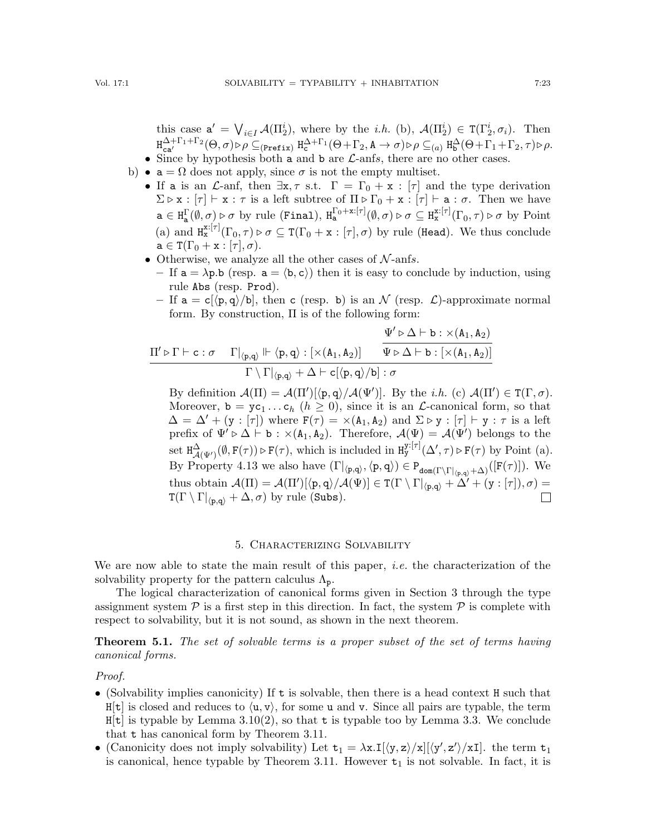this case  $a' = \bigvee_{i \in I} \mathcal{A}(\Pi_2^i)$ , where by the *i.h.* (b),  $\mathcal{A}(\Pi_2^i) \in \mathcal{T}(\Gamma_2^i, \sigma_i)$ . Then  $\text{H}^{\Delta+\Gamma_1+\Gamma_2}_{\mathbf{ca}'}(\Theta,\sigma) \triangleright \rho \subseteq_{(\text{Prefix})} \text{H}^{\Delta+\Gamma_1}_{\mathbf{c}}(\Theta+\Gamma_2,\mathtt{A}\to\sigma) \triangleright \rho \subseteq_{(a)} \text{H}^{\Delta}_{\mathbf{b}}(\Theta+\Gamma_1+\Gamma_2,\tau) \triangleright \rho.$ • Since by hypothesis both  $\alpha$  and  $\beta$  are  $\mathcal{L}$ -anfs, there are no other cases.

- b)  $a = \Omega$  does not apply, since  $\sigma$  is not the empty multiset.
	- If a is an  $\mathcal{L}$ -anf, then  $\exists x, \tau$  s.t.  $\Gamma = \Gamma_0 + x : [\tau]$  and the type derivation  $\Sigma \triangleright x : [\tau] \vdash x : \tau$  is a left subtree of  $\Pi \triangleright \Gamma_0 + x : [\tau] \vdash a : \sigma$ . Then we have  $\mathbf{a} \in \text{H}_{\mathbf{a}}^{\Gamma}(\emptyset, \sigma) \triangleright \sigma$  by rule (Final),  $\text{H}_{\mathbf{a}}^{\Gamma_0 + \mathbf{x}: [\tau]}(\emptyset, \sigma) \triangleright \sigma \subseteq \text{H}_{\mathbf{x}}^{\mathbf{x}: [\tau]}(\Gamma_0, \tau) \triangleright \sigma$  by Point (a) and  $H^{x:[\tau]}_x(\Gamma_0,\tau) \triangleright \sigma \subseteq T(\Gamma_0 + x : [\tau], \sigma)$  by rule (Head). We thus conclude  $a \in T(\Gamma_0 + x : [\tau], \sigma).$
	- Otherwise, we analyze all the other cases of  $\mathcal{N}\text{-anfs}$ .
		- If  $a = \lambda p.b$  (resp.  $a = \langle b, c \rangle$ ) then it is easy to conclude by induction, using rule Abs (resp. Prod).
		- If  $a = c[\langle p, q \rangle/b]$ , then c (resp. b) is an N (resp. L)-approximate normal form. By construction,  $\Pi$  is of the following form:

$$
\frac{\Pi' \triangleright \Gamma \vdash c : \sigma \quad \Gamma|_{\langle p,q \rangle} \Vdash \langle p,q \rangle : [\times (A_1,A_2)] \quad \frac{\Psi' \triangleright \Delta \vdash b : \times (A_1,A_2)}{\Psi \triangleright \Delta \vdash b : [\times (A_1,A_2)]} }{\Gamma \setminus \Gamma|_{\langle p,q \rangle} + \Delta \vdash c[\langle p,q \rangle/b] : \sigma}
$$

By definition  $\mathcal{A}(\Pi) = \mathcal{A}(\Pi')[\langle \mathbf{p}, \mathbf{q} \rangle / \mathcal{A}(\Psi')]$ . By the *i.h.* (c)  $\mathcal{A}(\Pi') \in \mathsf{T}(\Gamma, \sigma)$ . Moreover,  $\mathbf{b} = \mathbf{y} \mathbf{c}_1 \dots \mathbf{c}_h$   $(h \geq 0)$ , since it is an  $\mathcal{L}$ -canonical form, so that  $\Delta = \Delta' + (\mathbf{y} : [\tau])$  where  $\mathbf{F}(\tau) = \times (\mathbf{A}_1, \mathbf{A}_2)$  and  $\Sigma \triangleright \mathbf{y} : [\tau] \vdash \mathbf{y} : \tau$  is a left prefix of  $\Psi' \triangleright \Delta \vdash b : \times (A_1, A_2)$ . Therefore,  $\mathcal{A}(\Psi) = \mathcal{A}(\Psi')$  belongs to the set  $H^{\Delta}_{\mathcal{A}(\Psi')}(\emptyset, F(\tau)) \triangleright F(\tau)$ , which is included in  $H^{y:[\tau]}_y(\Delta', \tau) \triangleright F(\tau)$  by Point (a). By Property [4.13](#page-20-1) we also have  $(\Gamma|_{\langle p,q\rangle}, \langle p,q\rangle) \in P_{dom(\Gamma\backslash \Gamma|_{\langle p,q\rangle}+\Delta)}([\mathbf{F}(\tau)])$ . We thus obtain  $\mathcal{A}(\Pi) = \mathcal{A}(\Pi')[\langle p, q \rangle / \mathcal{A}(\Psi)] \in T(\Gamma \setminus \Gamma|_{\langle p, q \rangle} + \Delta' + (\mathbf{y} : [\tau]), \sigma) =$  $T(\Gamma \setminus \Gamma |_{\langle p,q \rangle} + \Delta, \sigma)$  by rule (Subs).  $\Box$ 

#### 5. Characterizing Solvability

<span id="page-22-1"></span>We are now able to state the main result of this paper, *i.e.* the characterization of the solvability property for the pattern calculus  $\Lambda_{p}$ .

The logical characterization of canonical forms given in Section [3](#page-8-0) through the type assignment system  $P$  is a first step in this direction. In fact, the system  $P$  is complete with respect to solvability, but it is not sound, as shown in the next theorem.

<span id="page-22-0"></span>**Theorem 5.1.** The set of solvable terms is a proper subset of the set of terms having canonical forms.

#### Proof.

- (Solvability implies canonicity) If  $t$  is solvable, then there is a head context  $H$  such that  $H[t]$  is closed and reduces to  $\langle u, v \rangle$ , for some u and v. Since all pairs are typable, the term  $H[t]$  is typable by Lemma [3.10\(](#page-12-1)[2\)](#page-12-3), so that t is typable too by Lemma [3.3.](#page-9-2) We conclude that t has canonical form by Theorem [3.11.](#page-12-0)
- (Canonicity does not imply solvability) Let  $t_1 = \lambda x.\mathbf{I}[\langle y, z \rangle / x][\langle y', z' \rangle / x\mathbf{I}]$ . the term  $t_1$ is canonical, hence typable by Theorem [3.11.](#page-12-0) However  $t_1$  is not solvable. In fact, it is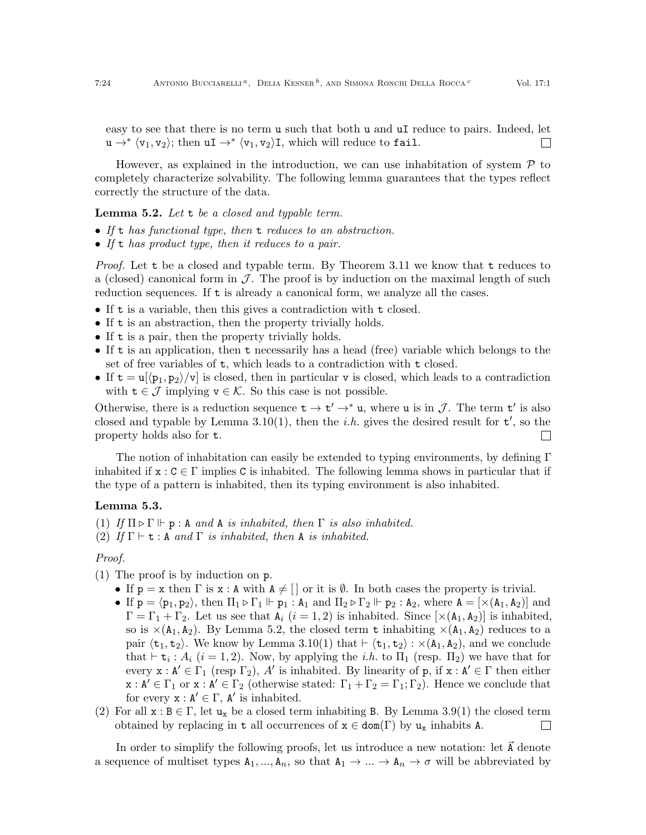easy to see that there is no term u such that both u and uI reduce to pairs. Indeed, let  $u \rightarrow^* \langle v_1, v_2 \rangle$ ; then  $uI \rightarrow^* \langle v_1, v_2 \rangle I$ , which will reduce to fail.  $\overline{\phantom{a}}$ 

However, as explained in the introduction, we can use inhabitation of system  $P$  to completely characterize solvability. The following lemma guarantees that the types reflect correctly the structure of the data.

## <span id="page-23-0"></span>**Lemma 5.2.** Let  $t$  be a closed and typable term.

- If t has functional type, then t reduces to an abstraction.
- If t has product type, then it reduces to a pair.

Proof. Let t be a closed and typable term. By Theorem [3.11](#page-12-0) we know that t reduces to a (closed) canonical form in  $\mathcal J$ . The proof is by induction on the maximal length of such reduction sequences. If t is already a canonical form, we analyze all the cases.

- If t is a variable, then this gives a contradiction with t closed.
- If t is an abstraction, then the property trivially holds.
- If t is a pair, then the property trivially holds.
- If t is an application, then t necessarily has a head (free) variable which belongs to the set of free variables of t, which leads to a contradiction with t closed.
- If  $t = u[\langle p_1, p_2 \rangle / v]$  is closed, then in particular v is closed, which leads to a contradiction with  $t \in \mathcal{J}$  implying  $v \in \mathcal{K}$ . So this case is not possible.

Otherwise, there is a reduction sequence  $t \to t' \to^* u$ , where u is in J. The term  $t'$  is also closed and typable by Lemma [3.10\(](#page-12-1)[1\)](#page-12-2), then the *i.h.* gives the desired result for  $t'$ , so the property holds also for t.  $\mathbf{L}$ 

The notion of inhabitation can easily be extended to typing environments, by defining Γ inhabited if  $x : C \in \Gamma$  implies C is inhabited. The following lemma shows in particular that if the type of a pattern is inhabited, then its typing environment is also inhabited.

## <span id="page-23-1"></span>Lemma 5.3.

<span id="page-23-3"></span>(1) If  $\Pi \triangleright \Gamma \Vdash p : A$  and A is inhabited, then  $\Gamma$  is also inhabited.

<span id="page-23-2"></span>(2) If  $\Gamma \vdash t : A$  and  $\Gamma$  is inhabited, then A is inhabited.

## Proof.

- (1) The proof is by induction on p.
	- If  $p = x$  then  $\Gamma$  is  $x : A$  with  $A \neq \lceil \cdot \rceil$  or it is  $\emptyset$ . In both cases the property is trivial.
	- If  $p = \langle p_1, p_2 \rangle$ , then  $\Pi_1 \triangleright \Gamma_1 \Vdash p_1 : A_1$  and  $\Pi_2 \triangleright \Gamma_2 \Vdash p_2 : A_2$ , where  $A = [\times (A_1, A_2)]$  and  $\Gamma = \Gamma_1 + \Gamma_2$ . Let us see that  $A_i$   $(i = 1, 2)$  is inhabited. Since  $[\times (A_1, A_2)]$  is inhabited, so is  $\times$ (A<sub>1</sub>, A<sub>2</sub>). By Lemma [5.2,](#page-23-0) the closed term t inhabiting  $\times$ (A<sub>1</sub>, A<sub>2</sub>) reduces to a pair  $\langle t_1, t_2 \rangle$ . We know by Lemma [3.10](#page-12-1)[\(1\)](#page-12-2) that  $\vdash \langle t_1, t_2 \rangle : \times(A_1, A_2)$ , and we conclude that  $\vdash t_i : A_i$  ( $i = 1, 2$ ). Now, by applying the *i.h.* to  $\Pi_1$  (resp.  $\Pi_2$ ) we have that for every  $x : A' \in \Gamma_1$  (resp  $\Gamma_2$ ), A' is inhabited. By linearity of p, if  $x : A' \in \Gamma$  then either  $x : A' \in \Gamma_1$  or  $x : A' \in \Gamma_2$  (otherwise stated:  $\Gamma_1 + \Gamma_2 = \Gamma_1$ ;  $\Gamma_2$ ). Hence we conclude that for every  $x : A' \in \Gamma$ , A' is inhabited.
- (2) For all  $x : B \in \Gamma$ , let  $u_x$  be a closed term inhabiting B. By Lemma [3.9\(](#page-12-4)[1\)](#page-12-5) the closed term obtained by replacing in t all occurrences of  $x \in \text{dom}(\Gamma)$  by  $u_x$  inhabits A.  $\Box$

In order to simplify the following proofs, let us introduce a new notation: let  $\vec{A}$  denote a sequence of multiset types  $A_1, ..., A_n$ , so that  $A_1 \to ... \to A_n \to \sigma$  will be abbreviated by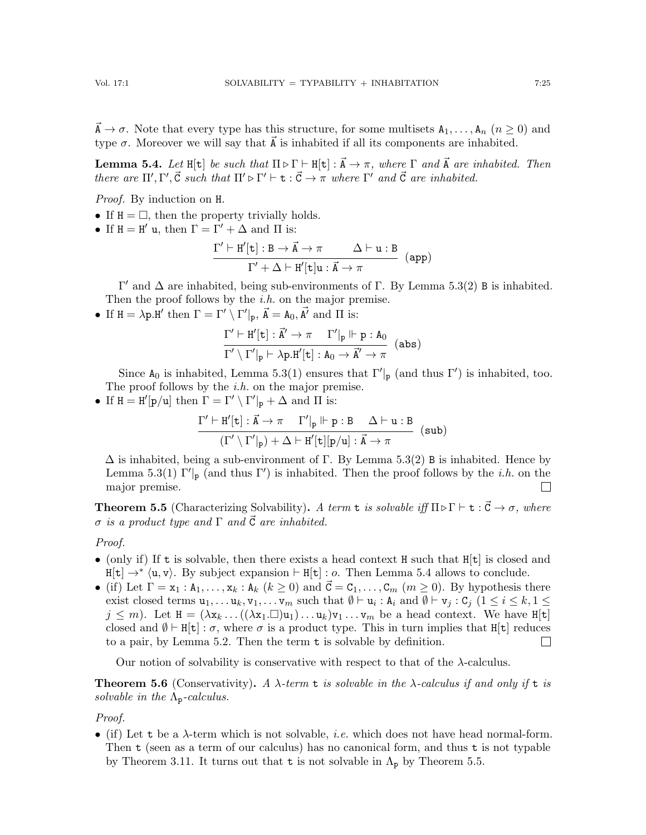$\vec{A} \to \sigma$ . Note that every type has this structure, for some multisets  $A_1, \ldots, A_n$   $(n \ge 0)$  and type  $\sigma$ . Moreover we will say that  $\vec{A}$  is inhabited if all its components are inhabited.

<span id="page-24-2"></span>**Lemma 5.4.** Let H[t] be such that  $\Pi \triangleright \Gamma \vdash H[t] : \vec{A} \rightarrow \pi$ , where  $\Gamma$  and  $\vec{A}$  are inhabited. Then there are  $\Pi', \Gamma', \vec{C}$  such that  $\Pi' \triangleright \Gamma' \vdash t : \vec{C} \to \pi$  where  $\Gamma'$  and  $\vec{C}$  are inhabited.

Proof. By induction on H.

- If  $H = \Box$ , then the property trivially holds.
- If  $H = H'$  u, then  $\Gamma = \Gamma' + \Delta$  and  $\Pi$  is:

$$
\frac{\Gamma' \vdash H'[t] : B \to \vec{A} \to \pi \qquad \Delta \vdash u : B}{\Gamma' + \Delta \vdash H'[t]u : \vec{A} \to \pi} \quad (app)
$$

 $Γ'$  and  $Δ$  are inhabited, being sub-environments of Γ. By Lemma [5.3](#page-23-1)[\(2\)](#page-23-2) B is inhabited. Then the proof follows by the  $i.h$  on the major premise.

• If  $H = \lambda p.H'$  then  $\Gamma = \Gamma' \setminus \Gamma'|_p$ ,  $\vec{A} = A_0$ ,  $\vec{A'}$  and  $\Pi$  is:

$$
\frac{\Gamma'\vdash H'[t]:\vec{A}'\to \pi\quad \Gamma'|_p\Vdash p:A_0}{\Gamma'\setminus\Gamma'|_p\vdash \lambda p.H'[t]:A_0\to \vec{A}'\to \pi} \ \ (\text{abs})
$$

Since  $A_0$  is inhabited, Lemma [5.3\(](#page-23-1)[1\)](#page-23-3) ensures that  $\Gamma'|_p$  (and thus  $\Gamma'$ ) is inhabited, too. The proof follows by the  $i.h$  on the major premise.

• If  $H = H'[p/u]$  then  $\Gamma = \Gamma' \setminus \Gamma'|_p + \Delta$  and  $\Pi$  is:

$$
\frac{\Gamma' \vdash H'[t] : \vec{A} \to \pi \quad \Gamma'|_p \Vdash p : B \quad \Delta \vdash u : B}{(\Gamma' \setminus \Gamma'|_p) + \Delta \vdash H'[t][p/u] : \vec{A} \to \pi} \quad (\text{sub})
$$

 $\Delta$  is inhabited, being a sub-environment of Γ. By Lemma [5.3\(](#page-23-1)[2\)](#page-23-2) B is inhabited. Hence by Lemma [5.3](#page-23-1)[\(1\)](#page-23-3)  $\Gamma'$ <sub>p</sub> (and thus  $\Gamma'$ ) is inhabited. Then the proof follows by the *i.h.* on the major premise.  $\Box$ 

<span id="page-24-1"></span>**Theorem 5.5** (Characterizing Solvability). A term **t** is solvable iff  $\Pi \triangleright \Gamma \vdash t : \vec{C} \rightarrow \sigma$ , where  $\sigma$  is a product type and  $\Gamma$  and  $\vec{C}$  are inhabited.

## Proof.

- (only if) If t is solvable, then there exists a head context H such that  $H[t]$  is closed and  $H[t] \rightarrow^* \langle u, v \rangle$ . By subject expansion  $\vdash H[t] : o$ . Then Lemma [5.4](#page-24-2) allows to conclude.
- (if) Let  $\Gamma = x_1 : A_1, \ldots, x_k : A_k$   $(k \ge 0)$  and  $\vec{C} = C_1, \ldots, C_m$   $(m \ge 0)$ . By hypothesis there exist closed terms  $u_1, \ldots u_k, v_1, \ldots v_m$  such that  $\emptyset \vdash u_i : A_i$  and  $\emptyset \vdash v_j : C_j$   $(1 \leq i \leq k, 1 \leq j)$  $j \leq m$ ). Let  $H = (\lambda x_k ... ((\lambda x_1 \square) u_1) ... u_k)v_1 ... v_m$  be a head context. We have  $H[t]$ closed and  $\emptyset \vdash H[t] : \sigma$ , where  $\sigma$  is a product type. This in turn implies that H[t] reduces to a pair, by Lemma [5.2.](#page-23-0) Then the term t is solvable by definition.  $\Box$

Our notion of solvability is conservative with respect to that of the λ-calculus.

<span id="page-24-0"></span>**Theorem 5.6** (Conservativity). A  $\lambda$ -term t is solvable in the  $\lambda$ -calculus if and only if t is solvable in the  $\Lambda_{p}$ -calculus.

Proof.

• (if) Let t be a  $\lambda$ -term which is not solvable, *i.e.* which does not have head normal-form. Then t (seen as a term of our calculus) has no canonical form, and thus t is not typable by Theorem [3.11.](#page-12-0) It turns out that **t** is not solvable in  $\Lambda_p$  by Theorem [5.5.](#page-24-1)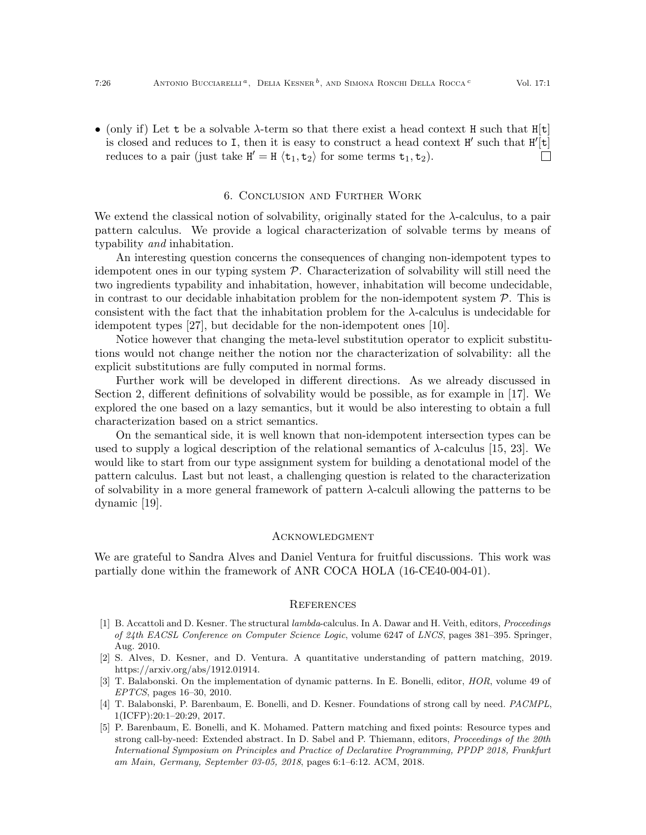• (only if) Let t be a solvable  $\lambda$ -term so that there exist a head context H such that  $H[t]$ is closed and reduces to I, then it is easy to construct a head context  $H'$  such that  $H'[t]$ reduces to a pair (just take  $H' = H \langle t_1, t_2 \rangle$  for some terms  $t_1, t_2$ ).  $\Box$ 

#### 6. Conclusion and Further Work

<span id="page-25-5"></span>We extend the classical notion of solvability, originally stated for the  $\lambda$ -calculus, to a pair pattern calculus. We provide a logical characterization of solvable terms by means of typability and inhabitation.

An interesting question concerns the consequences of changing non-idempotent types to idempotent ones in our typing system  $P$ . Characterization of solvability will still need the two ingredients typability and inhabitation, however, inhabitation will become undecidable, in contrast to our decidable inhabitation problem for the non-idempotent system  $P$ . This is consistent with the fact that the inhabitation problem for the  $\lambda$ -calculus is undecidable for idempotent types [\[27\]](#page-26-21), but decidable for the non-idempotent ones [\[10\]](#page-26-9).

Notice however that changing the meta-level substitution operator to explicit substitutions would not change neither the notion nor the characterization of solvability: all the explicit substitutions are fully computed in normal forms.

Further work will be developed in different directions. As we already discussed in Section [2,](#page-3-0) different definitions of solvability would be possible, as for example in [\[17\]](#page-26-22). We explored the one based on a lazy semantics, but it would be also interesting to obtain a full characterization based on a strict semantics.

On the semantical side, it is well known that non-idempotent intersection types can be used to supply a logical description of the relational semantics of  $\lambda$ -calculus [\[15,](#page-26-15) [23\]](#page-26-23). We would like to start from our type assignment system for building a denotational model of the pattern calculus. Last but not least, a challenging question is related to the characterization of solvability in a more general framework of pattern  $\lambda$ -calculi allowing the patterns to be dynamic [\[19\]](#page-26-5).

#### **ACKNOWLEDGMENT**

We are grateful to Sandra Alves and Daniel Ventura for fruitful discussions. This work was partially done within the framework of ANR COCA HOLA (16-CE40-004-01).

#### **REFERENCES**

- <span id="page-25-1"></span>[1] B. Accattoli and D. Kesner. The structural lambda-calculus. In A. Dawar and H. Veith, editors, Proceedings of 24th EACSL Conference on Computer Science Logic, volume 6247 of LNCS, pages 381–395. Springer, Aug. 2010.
- <span id="page-25-4"></span>[2] S. Alves, D. Kesner, and D. Ventura. A quantitative understanding of pattern matching, 2019. https://arxiv.org/abs/1912.01914.
- <span id="page-25-0"></span>[3] T. Balabonski. On the implementation of dynamic patterns. In E. Bonelli, editor, HOR, volume 49 of EPTCS, pages 16–30, 2010.
- <span id="page-25-3"></span>[4] T. Balabonski, P. Barenbaum, E. Bonelli, and D. Kesner. Foundations of strong call by need. PACMPL, 1(ICFP):20:1–20:29, 2017.
- <span id="page-25-2"></span>[5] P. Barenbaum, E. Bonelli, and K. Mohamed. Pattern matching and fixed points: Resource types and strong call-by-need: Extended abstract. In D. Sabel and P. Thiemann, editors, Proceedings of the 20th International Symposium on Principles and Practice of Declarative Programming, PPDP 2018, Frankfurt am Main, Germany, September 03-05, 2018, pages 6:1–6:12. ACM, 2018.